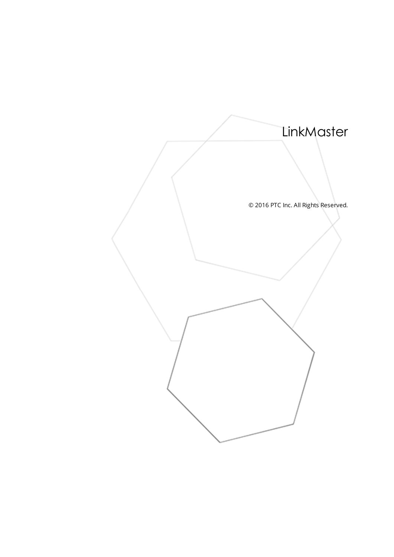<span id="page-0-0"></span>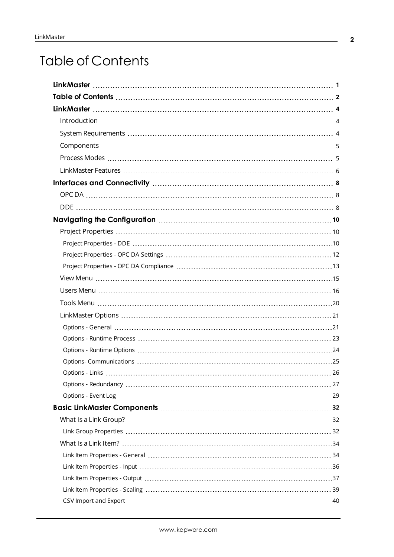# <span id="page-1-0"></span>Table of Contents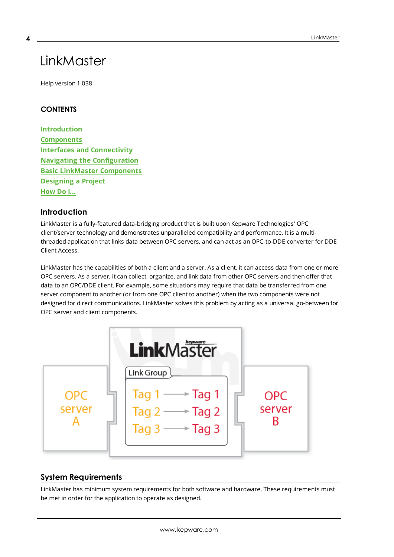# LinkMaster

Help version 1.038

## **CONTENTS**

<span id="page-3-0"></span>**4**

**[Introduction](#page-3-1) [Components](#page-4-0) Interfaces and [Connectivity](#page-7-0) Navigating the [Configuration](#page-9-0) Basic LinkMaster [Components](#page-31-0) [Designing](#page-46-0) a Project [How](#page-57-0) Do I...**

#### <span id="page-3-1"></span>**Introduction**

LinkMaster is a fully-featured data-bridging product that is built upon Kepware Technologies' OPC client/server technology and demonstrates unparalleled compatibility and performance. It is a multithreaded application that links data between OPC servers, and can act as an OPC-to-DDE converter for DDE Client Access.

LinkMaster has the capabilities of both a client and a server. As a client, it can access data from one or more OPC servers. As a server, it can collect, organize, and link data from other OPC servers and then offer that data to an OPC/DDE client. For example, some situations may require that data be transferred from one server component to another (or from one OPC client to another) when the two components were not designed for direct communications. LinkMaster solves this problem by acting as a universal go-between for OPC server and client components.



## <span id="page-3-2"></span>**System Requirements**

LinkMaster has minimum system requirements for both software and hardware. These requirements must be met in order for the application to operate as designed.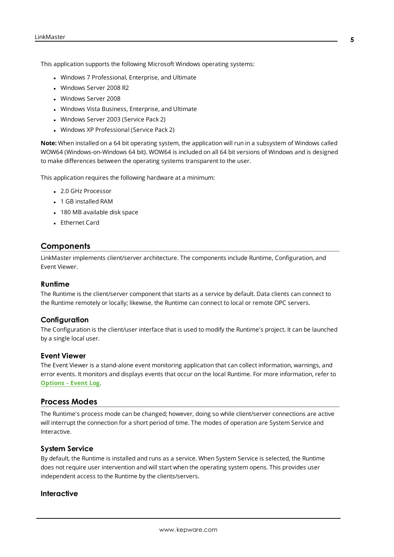This application supports the following Microsoft Windows operating systems:

- Windows 7 Professional, Enterprise, and Ultimate
- Windows Server 2008 R2
- Windows Server 2008
- Windows Vista Business, Enterprise, and Ultimate
- Windows Server 2003 (Service Pack 2)
- Windows XP Professional (Service Pack 2)

**Note:** When installed on a 64 bit operating system, the application will run in a subsystem of Windows called WOW64 (Windows-on-Windows 64 bit). WOW64 is included on all 64 bit versions of Windows and is designed to make differences between the operating systems transparent to the user.

This application requires the following hardware at a minimum:

- 2.0 GHz Processor
- <sup>l</sup> 1 GB installed RAM
- 180 MB available disk space
- Ethernet Card

# <span id="page-4-0"></span>**Components**

LinkMaster implements client/server architecture. The components include Runtime, Configuration, and Event Viewer.

#### **Runtime**

The Runtime is the client/server component that starts as a service by default. Data clients can connect to the Runtime remotely or locally; likewise, the Runtime can connect to local or remote OPC servers.

#### **Configuration**

The Configuration is the client/user interface that is used to modify the Runtime's project. It can be launched by a single local user.

#### **Event Viewer**

The Event Viewer is a stand-alone event monitoring application that can collect information, warnings, and error events. It monitors and displays events that occur on the local Runtime. For more information, refer to **[Options](#page-28-0) - Event Log**.

#### <span id="page-4-1"></span>**Process Modes**

The Runtime's process mode can be changed; however, doing so while client/server connections are active will interrupt the connection for a short period of time. The modes of operation are System Service and Interactive.

#### **System Service**

By default, the Runtime is installed and runs as a service. When System Service is selected, the Runtime does not require user intervention and will start when the operating system opens. This provides user independent access to the Runtime by the clients/servers.

#### **Interactive**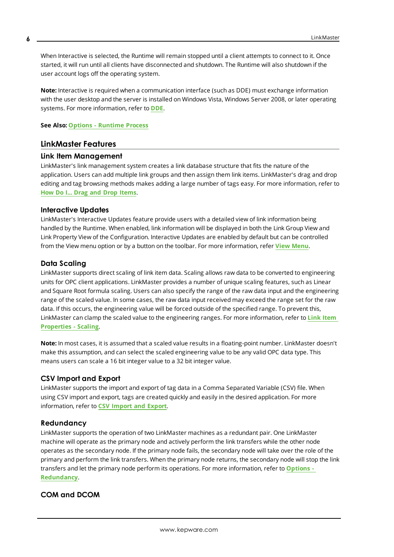When Interactive is selected, the Runtime will remain stopped until a client attempts to connect to it. Once started, it will run until all clients have disconnected and shutdown. The Runtime will also shutdown if the user account logs off the operating system.

**Note:** Interactive is required when a communication interface (such as DDE) must exchange information with the user desktop and the server is installed on Windows Vista, Windows Server 2008, or later operating systems. For more information, refer to **[DDE](#page-7-2)**.

<span id="page-5-0"></span>**See Also: Options - [Runtime](#page-22-0) Process**

## **LinkMaster Features**

#### **Link Item Management**

LinkMaster's link management system creates a link database structure that fits the nature of the application. Users can add multiple link groups and then assign them link items. LinkMaster's drag and drop editing and tag browsing methods makes adding a large number of tags easy. For more information, refer to **How Do I... Drag and Drop [Items](#page-58-0)**.

#### **Interactive Updates**

LinkMaster's Interactive Updates feature provide users with a detailed view of link information being handled by the Runtime. When enabled, link information will be displayed in both the Link Group View and Link Property View of the Configuration. Interactive Updates are enabled by default but can be controlled from the View menu option or by a button on the toolbar. For more information, refer **View [Menu](#page-14-0)**.

# <span id="page-5-2"></span>**Data Scaling**

LinkMaster supports direct scaling of link item data. Scaling allows raw data to be converted to engineering units for OPC client applications. LinkMaster provides a number of unique scaling features, such as Linear and Square Root formula scaling. Users can also specify the range of the raw data input and the engineering range of the scaled value. In some cases, the raw data input received may exceed the range set for the raw data. If this occurs, the engineering value will be forced outside of the specified range. To prevent this, LinkMaster can clamp the scaled value to the engineering ranges. For more information, refer to **Link [Item](#page-38-0) [Properties](#page-38-0) - Scaling**.

**Note:** In most cases, it is assumed that a scaled value results in a floating-point number. LinkMaster doesn't make this assumption, and can select the scaled engineering value to be any valid OPC data type. This means users can scale a 16 bit integer value to a 32 bit integer value.

## **CSV Import and Export**

LinkMaster supports the import and export of tag data in a Comma Separated Variable (CSV) file. When using CSV import and export, tags are created quickly and easily in the desired application. For more information, refer to **CSV [Import](#page-39-0) and Export**.

## **Redundancy**

LinkMaster supports the operation of two LinkMaster machines as a redundant pair. One LinkMaster machine will operate as the primary node and actively perform the link transfers while the other node operates as the secondary node. If the primary node fails, the secondary node will take over the role of the primary and perform the link transfers. When the primary node returns, the secondary node will stop the link transfers and let the primary node perform its operations. For more information, refer to **[Options](#page-26-0) - [Redundancy](#page-26-0)**.

# <span id="page-5-1"></span>**COM and DCOM**

**6**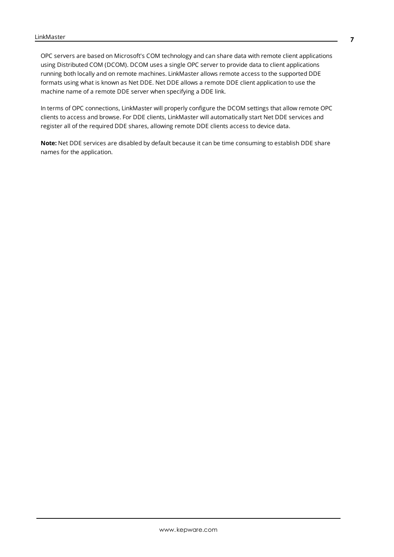OPC servers are based on Microsoft's COM technology and can share data with remote client applications using Distributed COM (DCOM). DCOM uses a single OPC server to provide data to client applications running both locally and on remote machines. LinkMaster allows remote access to the supported DDE formats using what is known as Net DDE. Net DDE allows a remote DDE client application to use the machine name of a remote DDE server when specifying a DDE link.

In terms of OPC connections, LinkMaster will properly configure the DCOM settings that allow remote OPC clients to access and browse. For DDE clients, LinkMaster will automatically start Net DDE services and register all of the required DDE shares, allowing remote DDE clients access to device data.

**Note:** Net DDE services are disabled by default because it can be time consuming to establish DDE share names for the application.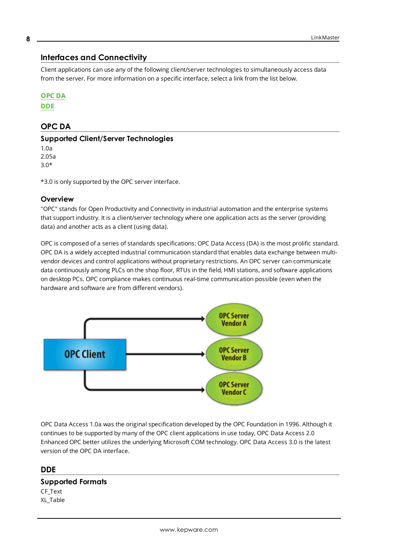# <span id="page-7-0"></span>**Interfaces and Connectivity**

Client applications can use any of the following client/server technologies to simultaneously access data from the server. For more information on a specific interface, select a link from the list below.

#### **[OPC](#page-7-1) DA**

<span id="page-7-1"></span>**[DDE](#page-7-2)**

# **OPC DA**

#### **Supported Client/Server Technologies**

1.0a 2.05a 3.0\*

\*3.0 is only supported by the OPC server interface.

#### **Overview**

"OPC" stands for Open Productivity and Connectivity in industrial automation and the enterprise systems that support industry. It is a client/server technology where one application acts as the server (providing data) and another acts as a client (using data).

OPC is composed of a series of standards specifications: OPC Data Access (DA) is the most prolific standard. OPC DA is a widely accepted industrial communication standard that enables data exchange between multivendor devices and control applications without proprietary restrictions. An OPC server can communicate data continuously among PLCs on the shop floor, RTUs in the field, HMI stations, and software applications on desktop PCs. OPC compliance makes continuous real-time communication possible (even when the hardware and software are from different vendors).



OPC Data Access 1.0a was the original specification developed by the OPC Foundation in 1996. Although it continues to be supported by many of the OPC client applications in use today, OPC Data Access 2.0 Enhanced OPC better utilizes the underlying Microsoft COM technology. OPC Data Access 3.0 is the latest version of the OPC DA interface.

## <span id="page-7-2"></span>**DDE**

#### **Supported Formats**

CF\_Text XL\_Table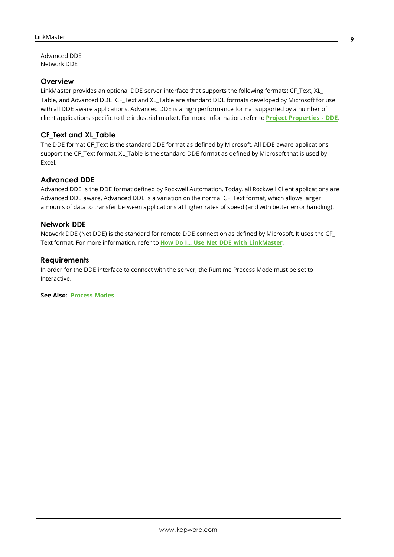Advanced DDE Network DDE

#### **Overview**

LinkMaster provides an optional DDE server interface that supports the following formats: CF\_Text, XL\_ Table, and Advanced DDE. CF Text and XL Table are standard DDE formats developed by Microsoft for use with all DDE aware applications. Advanced DDE is a high performance format supported by a number of client applications specific to the industrial market. For more information, refer to **Project [Properties](#page-9-2) - DDE**.

#### **CF\_Text and XL\_Table**

The DDE format CF\_Text is the standard DDE format as defined by Microsoft. All DDE aware applications support the CF\_Text format. XL\_Table is the standard DDE format as defined by Microsoft that is used by Excel.

#### **Advanced DDE**

Advanced DDE is the DDE format defined by Rockwell Automation. Today, all Rockwell Client applications are Advanced DDE aware. Advanced DDE is a variation on the normal CF\_Text format, which allows larger amounts of data to transfer between applications at higher rates of speed (and with better error handling).

#### **Network DDE**

Network DDE (Net DDE) is the standard for remote DDE connection as defined by Microsoft. It uses the CF\_ Text format. For more information, refer to **How Do I... Use Net DDE with [LinkMaster](#page-62-1)**.

#### **Requirements**

In order for the DDE interface to connect with the server, the Runtime Process Mode must be set to Interactive.

**See Also: [Process](#page-4-1) Modes**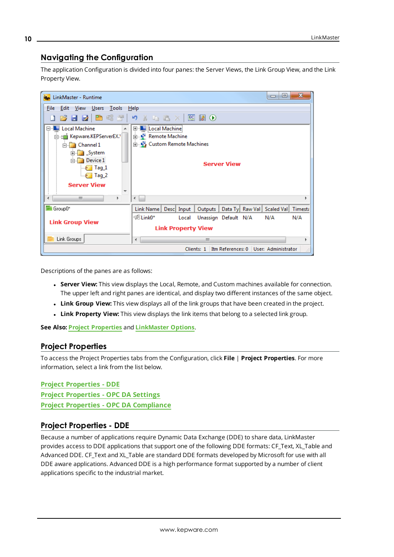# <span id="page-9-0"></span>**Navigating the Configuration**

The application Configuration is divided into four panes: the Server Views, the Link Group View, and the Link Property View.



Descriptions of the panes are as follows:

- **.** Server View: This view displays the Local, Remote, and Custom machines available for connection. The upper left and right panes are identical, and display two different instances of the same object.
- **Link Group View:** This view displays all of the link groups that have been created in the project.
- **Link Property View:** This view displays the link items that belong to a selected link group.

<span id="page-9-1"></span>**See Also: Project [Properties](#page-9-1)** and **[LinkMaster](#page-20-0) Options**.

## **Project Properties**

To access the Project Properties tabs from the Configuration, click **File** | **Project Properties**. For more information, select a link from the list below.

**Project [Properties](#page-9-2) - DDE Project [Properties](#page-11-0) - OPC DA Settings Project Properties - OPC DA [Compliance](#page-12-0)**

# <span id="page-9-2"></span>**Project Properties - DDE**

Because a number of applications require Dynamic Data Exchange (DDE) to share data, LinkMaster provides access to DDE applications that support one of the following DDE formats: CF\_Text, XL\_Table and Advanced DDE. CF Text and XL Table are standard DDE formats developed by Microsoft for use with all DDE aware applications. Advanced DDE is a high performance format supported by a number of client applications specific to the industrial market.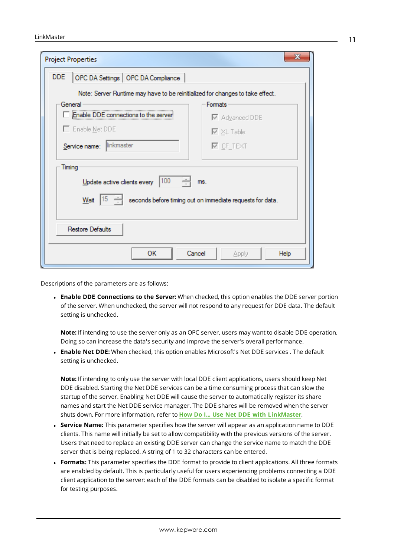| <b>Project Properties</b>                                                                       |                                                                  |
|-------------------------------------------------------------------------------------------------|------------------------------------------------------------------|
| OPC DA Settings   OPC DA Compliance  <br>DDE                                                    |                                                                  |
| Note: Server Runtime may have to be reinitialized for changes to take effect.                   |                                                                  |
| General                                                                                         | Formats                                                          |
| Enable DDE connections to the server                                                            | M Advanced DDE                                                   |
| $\Box$ Enable Net DDE                                                                           | $\nabla \times$ L Table                                          |
| linkmaster<br>Service name:                                                                     | $\nabla$ CF_TEXT                                                 |
| Timing<br>Update active clients every  100<br>÷<br>$15 \div$<br>Wait<br><b>Restore Defaults</b> | ms.<br>seconds before timing out on immediate requests for data. |
| ок<br>Cancel                                                                                    | <b>Help</b><br>Apply                                             |

Descriptions of the parameters are as follows:

<sup>l</sup> **Enable DDE Connections to the Server:** When checked, this option enables the DDE server portion of the server. When unchecked, the server will not respond to any request for DDE data. The default setting is unchecked.

**Note:** If intending to use the server only as an OPC server, users may want to disable DDE operation. Doing so can increase the data's security and improve the server's overall performance.

<sup>l</sup> **Enable Net DDE:** When checked, this option enables Microsoft's Net DDE services . The default setting is unchecked.

**Note:** If intending to only use the server with local DDE client applications, users should keep Net DDE disabled. Starting the Net DDE services can be a time consuming process that can slow the startup of the server. Enabling Net DDE will cause the server to automatically register its share names and start the Net DDE service manager. The DDE shares will be removed when the server shuts down. For more information, refer to **How Do I... Use Net DDE with [LinkMaster](#page-62-1)**.

- **Service Name:** This parameter specifies how the server will appear as an application name to DDE clients. This name will initially be set to allow compatibility with the previous versions of the server. Users that need to replace an existing DDE server can change the service name to match the DDE server that is being replaced. A string of 1 to 32 characters can be entered.
- **Formats:** This parameter specifies the DDE format to provide to client applications. All three formats are enabled by default. This is particularly useful for users experiencing problems connecting a DDE client application to the server: each of the DDE formats can be disabled to isolate a specific format for testing purposes.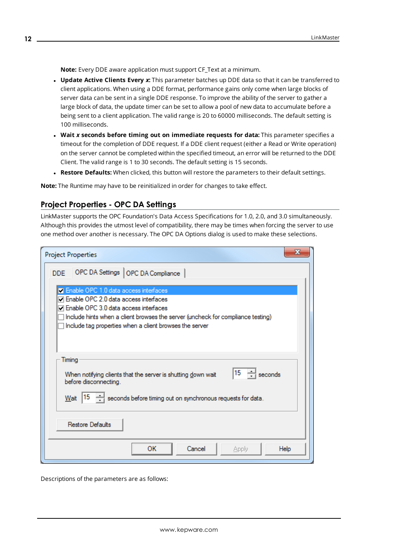**Note:** Every DDE aware application must support CF\_Text at a minimum.

- <sup>l</sup> **Update Active Clients Every** *x***:** This parameter batches up DDE data so that it can be transferred to client applications. When using a DDE format, performance gains only come when large blocks of server data can be sent in a single DDE response. To improve the ability of the server to gather a large block of data, the update timer can be set to allow a pool of new data to accumulate before a being sent to a client application. The valid range is 20 to 60000 milliseconds. The default setting is 100 milliseconds.
- <sup>l</sup> **Wait** *x* **seconds before timing out on immediate requests for data:** This parameter specifies a timeout for the completion of DDE request. If a DDE client request (either a Read or Write operation) on the server cannot be completed within the specified timeout, an error will be returned to the DDE Client. The valid range is 1 to 30 seconds. The default setting is 15 seconds.
- **Restore Defaults:** When clicked, this button will restore the parameters to their default settings.

<span id="page-11-0"></span>**Note:** The Runtime may have to be reinitialized in order for changes to take effect.

# **Project Properties - OPC DA Settings**

LinkMaster supports the OPC Foundation's Data Access Specifications for 1.0, 2.0, and 3.0 simultaneously. Although this provides the utmost level of compatibility, there may be times when forcing the server to use one method over another is necessary. The OPC DA Options dialog is used to make these selections.

| <b>Project Properties</b>                                                                                                                                                                                                                                                          |  |
|------------------------------------------------------------------------------------------------------------------------------------------------------------------------------------------------------------------------------------------------------------------------------------|--|
| OPC DA Settings   OPC DA Compliance<br>DDE.                                                                                                                                                                                                                                        |  |
| <b>Z</b> Enable OPC 1.0 data access interfaces<br>7 Enable OPC 2.0 data access interfaces<br>□ Enable OPC 3.0 data access interfaces<br>Include hints when a client browses the server (uncheck for compliance testing)<br>Include tag properties when a client browses the server |  |
| Timing<br>$\div$ seconds<br>15<br>When notifying clients that the server is shutting down wait<br>before disconnecting.<br>15<br>seconds before timing out on synchronous requests for data.<br>Wait<br><b>Restore Defaults</b>                                                    |  |
| ОΚ<br>Cancel<br>Help<br><b>Apply</b>                                                                                                                                                                                                                                               |  |

Descriptions of the parameters are as follows:

**12**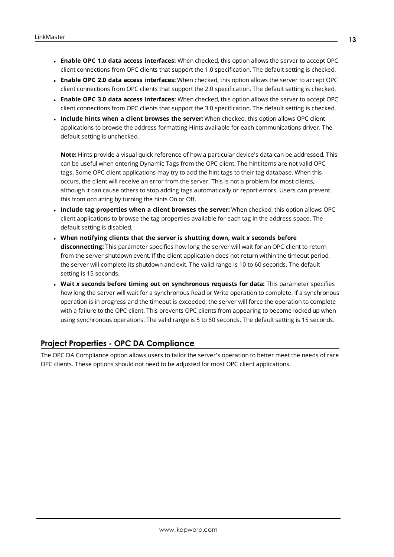- <sup>l</sup> **Enable OPC 1.0 data access interfaces:** When checked, this option allows the server to accept OPC client connections from OPC clients that support the 1.0 specification. The default setting is checked.
- <sup>l</sup> **Enable OPC 2.0 data access interfaces:** When checked, this option allows the server to accept OPC client connections from OPC clients that support the 2.0 specification. The default setting is checked.
- <sup>l</sup> **Enable OPC 3.0 data access interfaces:** When checked, this option allows the server to accept OPC client connections from OPC clients that support the 3.0 specification. The default setting is checked.
- <sup>l</sup> **Include hints when a client browses the server:** When checked, this option allows OPC client applications to browse the address formatting Hints available for each communications driver. The default setting is unchecked.

**Note:** Hints provide a visual quick reference of how a particular device's data can be addressed. This can be useful when entering Dynamic Tags from the OPC client. The hint items are not valid OPC tags. Some OPC client applications may try to add the hint tags to their tag database. When this occurs, the client will receive an error from the server. This is not a problem for most clients, although it can cause others to stop adding tags automatically or report errors. Users can prevent this from occurring by turning the hints On or Off.

- <sup>l</sup> **Include tag properties when a client browses the server:** When checked, this option allows OPC client applications to browse the tag properties available for each tag in the address space. The default setting is disabled.
- <sup>l</sup> **When notifying clients that the server is shutting down, wait** *x* **seconds before disconnecting:** This parameter specifies how long the server will wait for an OPC client to return from the server shutdown event. If the client application does not return within the timeout period, the server will complete its shutdown and exit. The valid range is 10 to 60 seconds. The default setting is 15 seconds.
- <sup>l</sup> **Wait** *x* **seconds before timing out on synchronous requests for data:** This parameter specifies how long the server will wait for a synchronous Read or Write operation to complete. If a synchronous operation is in progress and the timeout is exceeded, the server will force the operation to complete with a failure to the OPC client. This prevents OPC clients from appearing to become locked up when using synchronous operations. The valid range is 5 to 60 seconds. The default setting is 15 seconds.

# <span id="page-12-0"></span>**Project Properties - OPC DA Compliance**

The OPC DA Compliance option allows users to tailor the server's operation to better meet the needs of rare OPC clients. These options should not need to be adjusted for most OPC client applications.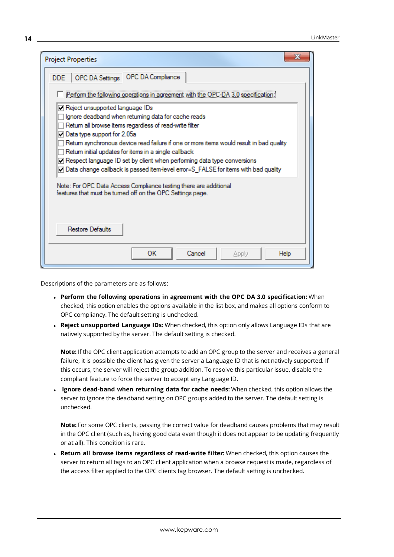| <b>Project Properties</b>                                                                                                                                                                                                                                                                                                                                                                                                                                                                                  |
|------------------------------------------------------------------------------------------------------------------------------------------------------------------------------------------------------------------------------------------------------------------------------------------------------------------------------------------------------------------------------------------------------------------------------------------------------------------------------------------------------------|
| DDE   OPC DA Settings   OPC DA Compliance                                                                                                                                                                                                                                                                                                                                                                                                                                                                  |
| Perform the following operations in agreement with the OPC-DA 3.0 specification:                                                                                                                                                                                                                                                                                                                                                                                                                           |
| Reject unsupported language IDs<br>Ignore deadband when retuming data for cache reads<br>Retum all browse items regardless of read-write filter<br>$\Box$ Data type support for 2.05a<br>Retum synchronous device read failure if one or more items would result in bad quality<br>Retum initial updates for items in a single callback<br>Respect language ID set by client when performing data type conversions<br>O Data change callback is passed item-level error=S_FALSE for items with bad quality |
| Note: For OPC Data Access Compliance testing there are additional<br>features that must be tumed off on the OPC Settings page.                                                                                                                                                                                                                                                                                                                                                                             |
| Restore Defaults                                                                                                                                                                                                                                                                                                                                                                                                                                                                                           |
| OК<br>Cancel<br>Help<br>Apply                                                                                                                                                                                                                                                                                                                                                                                                                                                                              |

Descriptions of the parameters are as follows:

- <sup>l</sup> **Perform the following operations in agreement with the OPC DA 3.0 specification:** When checked, this option enables the options available in the list box, and makes all options conform to OPC compliancy. The default setting is unchecked.
- <sup>l</sup> **Reject unsupported Language IDs:** When checked, this option only allows Language IDs that are natively supported by the server. The default setting is checked.

**Note:** If the OPC client application attempts to add an OPC group to the server and receives a general failure, it is possible the client has given the server a Language ID that is not natively supported. If this occurs, the server will reject the group addition. To resolve this particular issue, disable the compliant feature to force the server to accept any Language ID.

<sup>l</sup> **Ignore dead-band when returning data for cache needs:** When checked, this option allows the server to ignore the deadband setting on OPC groups added to the server. The default setting is unchecked.

**Note:** For some OPC clients, passing the correct value for deadband causes problems that may result in the OPC client (such as, having good data even though it does not appear to be updating frequently or at all). This condition is rare.

<sup>l</sup> **Return all browse items regardless of read-write filter:** When checked, this option causes the server to return all tags to an OPC client application when a browse request is made, regardless of the access filter applied to the OPC clients tag browser. The default setting is unchecked.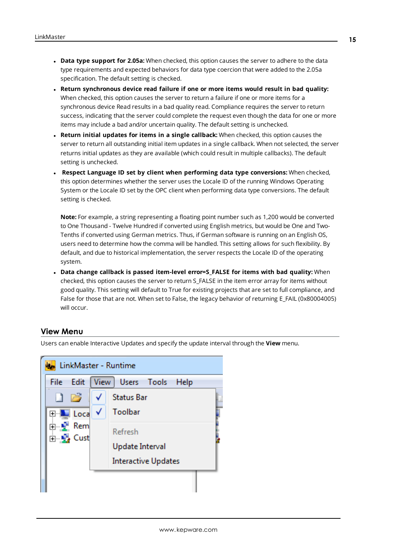- <sup>l</sup> **Data type support for 2.05a:** When checked, this option causes the server to adhere to the data type requirements and expected behaviors for data type coercion that were added to the 2.05a specification. The default setting is checked.
- <sup>l</sup> **Return synchronous device read failure if one or more items would result in bad quality:** When checked, this option causes the server to return a failure if one or more items for a synchronous device Read results in a bad quality read. Compliance requires the server to return success, indicating that the server could complete the request even though the data for one or more items may include a bad and/or uncertain quality. The default setting is unchecked.
- <sup>l</sup> **Return initial updates for items in a single callback:** When checked, this option causes the server to return all outstanding initial item updates in a single callback. When not selected, the server returns initial updates as they are available (which could result in multiple callbacks). The default setting is unchecked.
- <sup>l</sup> **Respect Language ID set by client when performing data type conversions:** When checked, this option determines whether the server uses the Locale ID of the running Windows Operating System or the Locale ID set by the OPC client when performing data type conversions. The default setting is checked.

**Note:** For example, a string representing a floating point number such as 1,200 would be converted to One Thousand - Twelve Hundred if converted using English metrics, but would be One and Two-Tenths if converted using German metrics. Thus, if German software is running on an English OS, users need to determine how the comma will be handled. This setting allows for such flexibility. By default, and due to historical implementation, the server respects the Locale ID of the operating system.

<sup>l</sup> **Data change callback is passed item-level error=S\_FALSE for items with bad quality:** When checked, this option causes the server to return S\_FALSE in the item error array for items without good quality. This setting will default to True for existing projects that are set to full compliance, and False for those that are not. When set to False, the legacy behavior of returning E\_FAIL (0x80004005) will occur.

## <span id="page-14-0"></span>**View Menu**

Users can enable Interactive Updates and specify the update interval through the **View** menu.

|      |                                                   | LinkMaster - Runtime       |  |
|------|---------------------------------------------------|----------------------------|--|
| File | Edit                                              | View Users Tools<br>Help   |  |
| n    | <b>Property</b>                                   | <b>Status Bar</b>          |  |
|      | <b>E</b> Loca                                     | Toolbar                    |  |
|      | ⊟ <mark>L</mark> Rem<br>⊟ L <mark>e</mark> y Cust | Refresh                    |  |
|      |                                                   | Update Interval            |  |
|      |                                                   | <b>Interactive Updates</b> |  |
|      |                                                   |                            |  |
|      |                                                   |                            |  |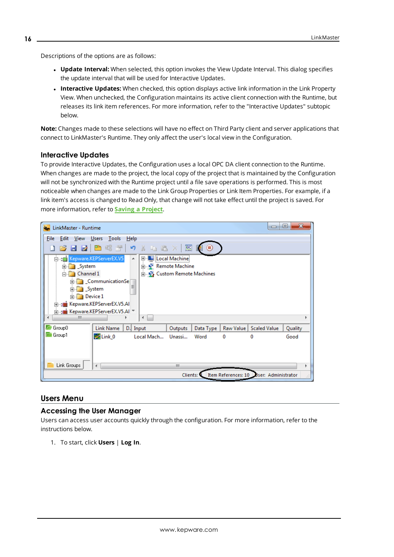Descriptions of the options are as follows:

- **Update Interval:** When selected, this option invokes the View Update Interval. This dialog specifies the update interval that will be used for Interactive Updates.
- **Interactive Updates:** When checked, this option displays active link information in the Link Property View. When unchecked, the Configuration maintains its active client connection with the Runtime, but releases its link item references. For more information, refer to the "Interactive Updates" subtopic below.

**Note:** Changes made to these selections will have no effect on Third Party client and server applications that connect to LinkMaster's Runtime. They only affect the user's local view in the Configuration.

#### **Interactive Updates**

To provide Interactive Updates, the Configuration uses a local OPC DA client connection to the Runtime. When changes are made to the project, the local copy of the project that is maintained by the Configuration will not be synchronized with the Runtime project until a file save operations is performed. This is most noticeable when changes are made to the Link Group Properties or Link Item Properties. For example, if a link item's access is changed to Read Only, that change will not take effect until the project is saved. For more information, refer to **Saving a [Project](#page-56-0)**.



#### <span id="page-15-0"></span>**Users Menu**

#### **Accessing the User Manager**

Users can access user accounts quickly through the configuration. For more information, refer to the instructions below.

1. To start, click **Users** | **Log In**.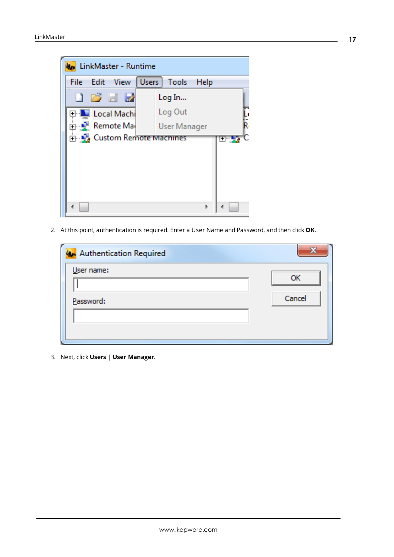

2. At this point, authentication is required. Enter a User Name and Password, and then click **OK**.

| <b>Authentication Required</b> |        |
|--------------------------------|--------|
| User name:                     | OK     |
|                                |        |
| Password:                      | Cancel |
|                                |        |
|                                |        |

3. Next, click **Users** | **User Manager**.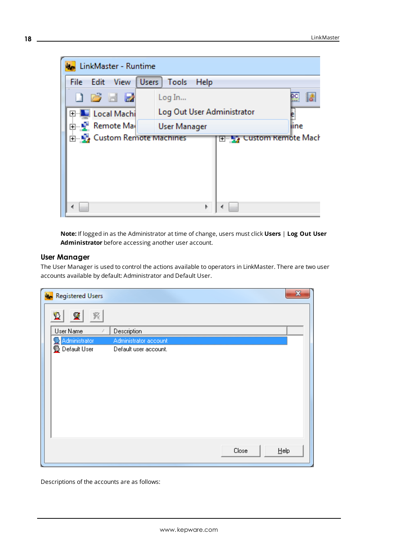

**Note:** If logged in as the Administrator at time of change, users must click **Users** | **Log Out User Administrator** before accessing another user account.

## **User Manager**

The User Manager is used to control the actions available to operators in LinkMaster. There are two user accounts available by default: Administrator and Default User.

| <b>An</b> Registered Users | $\mathbf{x}$          |
|----------------------------|-----------------------|
| 朢<br>警                     |                       |
| User Name                  | Description           |
| Administrator              | Administrator account |
| Default User               | Default user account. |
|                            |                       |
|                            |                       |
|                            |                       |
|                            |                       |
|                            |                       |
|                            |                       |
|                            |                       |
|                            |                       |
|                            |                       |
|                            | Close<br>$He$ lp      |
|                            |                       |

Descriptions of the accounts are as follows: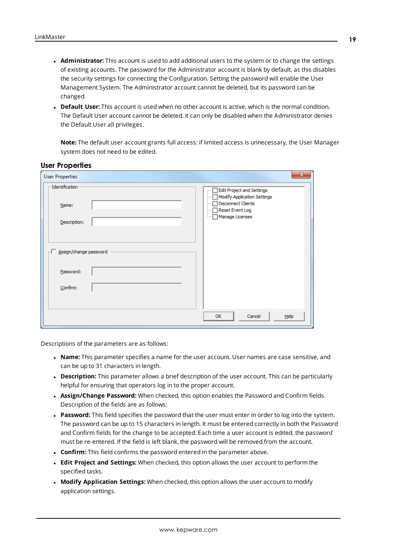- **Administrator:** This account is used to add additional users to the system or to change the settings of existing accounts. The password for the Administrator account is blank by default, as this disables the security settings for connecting the Configuration. Setting the password will enable the User Management System. The Administrator account cannot be deleted, but its password can be changed.
- **Default User:** This account is used when no other account is active, which is the normal condition. The Default User account cannot be deleted. It can only be disabled when the Administrator denies the Default User all privileges.

**Note:** The default user account grants full access: if limited access is unnecessary, the User Manager system does not need to be edited.

| <b>User Properties</b>                   | $\mathbf{x}$                                                                                                                                 |
|------------------------------------------|----------------------------------------------------------------------------------------------------------------------------------------------|
| -Identification<br>Name:<br>Description: | <b>Edit Project and Settings</b><br>Modify Application Settings<br><b>Disconnect Clients</b><br>:<br>Reset Event Log<br>Manage Licenses<br>: |
| Assign/change password                   |                                                                                                                                              |
| Password:                                |                                                                                                                                              |
| Confirm:                                 |                                                                                                                                              |
|                                          | OK<br>Cancel<br>Help                                                                                                                         |

#### **User Properties**

Descriptions of the parameters are as follows:

- <sup>l</sup> **Name:** This parameter specifies a name for the user account. User names are case sensitive, and can be up to 31 characters in length.
- **.** Description: This parameter allows a brief description of the user account. This can be particularly helpful for ensuring that operators log in to the proper account.
- **. Assign/Change Password:** When checked, this option enables the Password and Confirm fields. Description of the fields are as follows:
- **Password:** This field specifies the password that the user must enter in order to log into the system. The password can be up to 15 characters in length. It must be entered correctly in both the Password and Confirm fields for the change to be accepted. Each time a user account is edited, the password must be re-entered. If the field is left blank, the password will be removed from the account.
- **.** Confirm: This field confirms the password entered in the parameter above.
- <sup>l</sup> **Edit Project and Settings:** When checked, this option allows the user account to perform the specified tasks.
- <sup>l</sup> **Modify Application Settings:** When checked, this option allows the user account to modify application settings.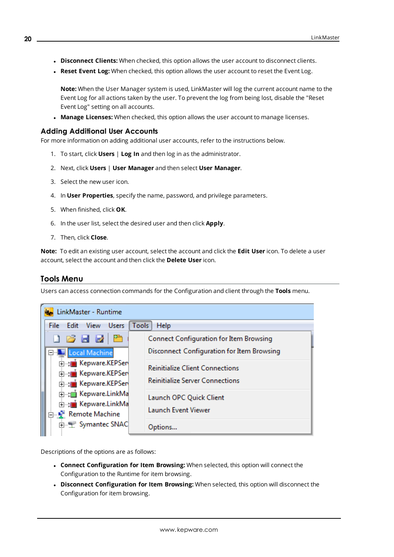- **.** Disconnect Clients: When checked, this option allows the user account to disconnect clients.
- **Reset Event Log:** When checked, this option allows the user account to reset the Event Log.

**Note:** When the User Manager system is used, LinkMaster will log the current account name to the Event Log for all actions taken by the user. To prevent the log from being lost, disable the "Reset Event Log" setting on all accounts.

**Manage Licenses:** When checked, this option allows the user account to manage licenses.

#### **Adding Additional User Accounts**

For more information on adding additional user accounts, refer to the instructions below.

- 1. To start, click **Users** | **Log In** and then log in as the administrator.
- 2. Next, click **Users** | **User Manager** and then select **User Manager**.
- 3. Select the new user icon.
- 4. In **User Properties**, specify the name, password, and privilege parameters.
- 5. When finished, click **OK**.
- 6. In the user list, select the desired user and then click **Apply**.
- 7. Then, click **Close**.

**Note:** To edit an existing user account, select the account and click the **Edit User** icon. To delete a user account, select the account and then click the **Delete User** icon.

## <span id="page-19-0"></span>**Tools Menu**

Users can access connection commands for the Configuration and client through the **Tools** menu.

| LinkMaster - Runtime                                       |                                                |
|------------------------------------------------------------|------------------------------------------------|
| <b>Users</b><br><b>View</b><br>Tools<br>File<br>Edit       | Help                                           |
| 1612                                                       | <b>Connect Configuration for Item Browsing</b> |
| <b>Land Machine</b>                                        | Disconnect Configuration for Item Browsing     |
| <b>E</b> -se Kepware.KEPSen<br><b>E</b> and Kepware KEPSen | <b>Reinitialize Client Connections</b>         |
| E-a Kepware.KEPSer                                         | <b>Reinitialize Server Connections</b>         |
| E-t Kepware.LinkMa                                         | Launch OPC Quick Client                        |
| E-an Kepware.LinkMa<br>Remote Machine                      | <b>Launch Event Viewer</b>                     |
| 中一、 Symantec SNAC                                          | Options                                        |

Descriptions of the options are as follows:

- <sup>l</sup> **Connect Configuration for Item Browsing:** When selected, this option will connect the Configuration to the Runtime for item browsing.
- <sup>l</sup> **Disconnect Configuration for Item Browsing:** When selected, this option will disconnect the Configuration for item browsing.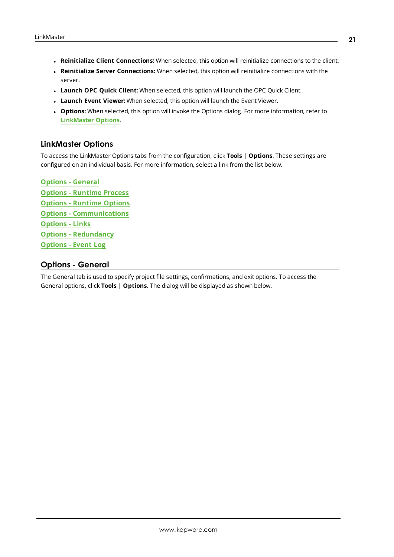- <sup>l</sup> **Reinitialize Client Connections:** When selected, this option will reinitialize connections to the client.
- <sup>l</sup> **Reinitialize Server Connections:** When selected, this option will reinitialize connections with the server.
- <sup>l</sup> **Launch OPC Quick Client:** When selected, this option will launch the OPC Quick Client.
- <sup>l</sup> **Launch Event Viewer:** When selected, this option will launch the Event Viewer.
- **.** Options: When selected, this option will invoke the Options dialog. For more information, refer to **[LinkMaster](#page-20-0) Options**.

## <span id="page-20-0"></span>**LinkMaster Options**

To access the LinkMaster Options tabs from the configuration, click **Tools** | **Options**. These settings are configured on an individual basis. For more information, select a link from the list below.

<span id="page-20-8"></span><span id="page-20-7"></span><span id="page-20-5"></span><span id="page-20-4"></span><span id="page-20-2"></span>**Options - [General](#page-20-1) Options - [Runtime](#page-22-0) Process Options - [Runtime](#page-23-0) Options Options - [Communications](#page-24-0) [Options](#page-25-0) - Links Options - [Redundancy](#page-26-0) [Options](#page-28-0) - Event Log**

# <span id="page-20-6"></span><span id="page-20-3"></span><span id="page-20-1"></span>**Options - General**

The General tab is used to specify project file settings, confirmations, and exit options. To access the General options, click **Tools** | **Options**. The dialog will be displayed as shown below.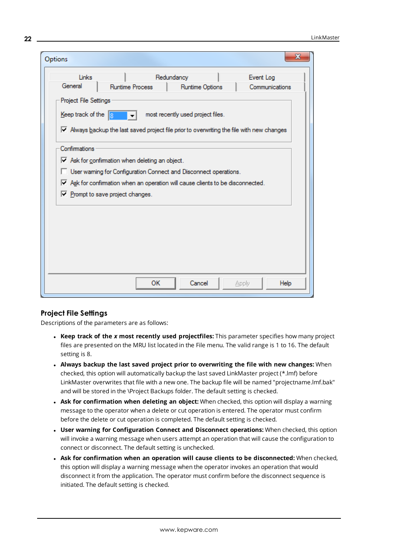| General<br><b>Runtime Process</b><br>Runtime Options<br>Project File Settings<br>Keep track of the $\sqrt{8}$<br>most recently used project files.<br>$\triangledown$ Always backup the last saved project file prior to overwriting the file with new changes<br>Confirmations<br>$\triangledown$ Ask for confirmation when deleting an object.<br>User warning for Configuration Connect and Disconnect operations.<br>$\overline{\mathbf{v}}$ Ask for confirmation when an operation will cause clients to be disconnected.<br>$\nabla$ Prompt to save project changes. | Links | Redundancy | Event Log      |
|----------------------------------------------------------------------------------------------------------------------------------------------------------------------------------------------------------------------------------------------------------------------------------------------------------------------------------------------------------------------------------------------------------------------------------------------------------------------------------------------------------------------------------------------------------------------------|-------|------------|----------------|
|                                                                                                                                                                                                                                                                                                                                                                                                                                                                                                                                                                            |       |            | Communications |
|                                                                                                                                                                                                                                                                                                                                                                                                                                                                                                                                                                            |       |            |                |
|                                                                                                                                                                                                                                                                                                                                                                                                                                                                                                                                                                            |       |            |                |
|                                                                                                                                                                                                                                                                                                                                                                                                                                                                                                                                                                            |       |            |                |
|                                                                                                                                                                                                                                                                                                                                                                                                                                                                                                                                                                            |       |            |                |
|                                                                                                                                                                                                                                                                                                                                                                                                                                                                                                                                                                            |       |            |                |
|                                                                                                                                                                                                                                                                                                                                                                                                                                                                                                                                                                            |       |            |                |
|                                                                                                                                                                                                                                                                                                                                                                                                                                                                                                                                                                            |       |            |                |
|                                                                                                                                                                                                                                                                                                                                                                                                                                                                                                                                                                            |       |            |                |
|                                                                                                                                                                                                                                                                                                                                                                                                                                                                                                                                                                            |       |            |                |
|                                                                                                                                                                                                                                                                                                                                                                                                                                                                                                                                                                            |       |            |                |
|                                                                                                                                                                                                                                                                                                                                                                                                                                                                                                                                                                            |       |            |                |
|                                                                                                                                                                                                                                                                                                                                                                                                                                                                                                                                                                            |       |            |                |
|                                                                                                                                                                                                                                                                                                                                                                                                                                                                                                                                                                            |       |            |                |
|                                                                                                                                                                                                                                                                                                                                                                                                                                                                                                                                                                            |       |            |                |
|                                                                                                                                                                                                                                                                                                                                                                                                                                                                                                                                                                            |       |            |                |
|                                                                                                                                                                                                                                                                                                                                                                                                                                                                                                                                                                            |       |            |                |
|                                                                                                                                                                                                                                                                                                                                                                                                                                                                                                                                                                            |       |            |                |
|                                                                                                                                                                                                                                                                                                                                                                                                                                                                                                                                                                            |       |            |                |
|                                                                                                                                                                                                                                                                                                                                                                                                                                                                                                                                                                            |       |            |                |

#### <span id="page-21-0"></span>**Project File Settings**

Descriptions of the parameters are as follows:

- <sup>l</sup> **Keep track of the** *x* **most recently used projectfiles:** This parameter specifies how many project files are presented on the MRU list located in the File menu. The valid range is 1 to 16. The default setting is 8.
- <sup>l</sup> **Always backup the last saved project prior to overwriting the file with new changes:** When checked, this option will automatically backup the last saved LinkMaster project (\*.lmf) before LinkMaster overwrites that file with a new one. The backup file will be named "projectname.lmf.bak" and will be stored in the \Project Backups folder. The default setting is checked.
- <sup>l</sup> **Ask for confirmation when deleting an object:** When checked, this option will display a warning message to the operator when a delete or cut operation is entered. The operator must confirm before the delete or cut operation is completed. The default setting is checked.
- <sup>l</sup> **User warning for Configuration Connect and Disconnect operations:** When checked, this option will invoke a warning message when users attempt an operation that will cause the configuration to connect or disconnect. The default setting is unchecked.
- <sup>l</sup> **Ask for confirmation when an operation will cause clients to be disconnected:** When checked, this option will display a warning message when the operator invokes an operation that would disconnect it from the application. The operator must confirm before the disconnect sequence is initiated. The default setting is checked.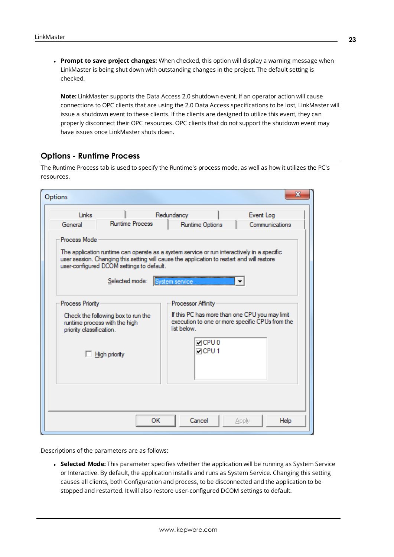<span id="page-22-1"></span><sup>l</sup> **Prompt to save project changes:** When checked, this option will display a warning message when LinkMaster is being shut down with outstanding changes in the project. The default setting is checked.

**Note:** LinkMaster supports the Data Access 2.0 shutdown event. If an operator action will cause connections to OPC clients that are using the 2.0 Data Access specifications to be lost, LinkMaster will issue a shutdown event to these clients. If the clients are designed to utilize this event, they can properly disconnect their OPC resources. OPC clients that do not support the shutdown event may have issues once LinkMaster shuts down.

## <span id="page-22-0"></span>**Options - Runtime Process**

The Runtime Process tab is used to specify the Runtime's process mode, as well as how it utilizes the PC's resources.

|                          |                                                                     | Redundancy                                                                                                                                                                                                 | Event Log                                                                                         |
|--------------------------|---------------------------------------------------------------------|------------------------------------------------------------------------------------------------------------------------------------------------------------------------------------------------------------|---------------------------------------------------------------------------------------------------|
| General                  | <b>Runtime Process</b>                                              | Runtime Options                                                                                                                                                                                            | Communications                                                                                    |
| Process Mode             |                                                                     |                                                                                                                                                                                                            |                                                                                                   |
|                          | user-configured DCOM settings to default.<br>Selected mode:         | The application runtime can operate as a system service or run interactively in a specific<br>user session. Changing this setting will cause the application to restart and will restore<br>System service |                                                                                                   |
| Process Priority         |                                                                     | Processor Affinity                                                                                                                                                                                         |                                                                                                   |
| priority classification. | Check the following box to run the<br>runtime process with the high | list below                                                                                                                                                                                                 | If this PC has more than one CPU you may limit<br>execution to one or more specific CPUs from the |
|                          | <b>High priority</b>                                                | $\Box$ CPU 0<br>$\Box$ CPU 1                                                                                                                                                                               |                                                                                                   |
|                          |                                                                     |                                                                                                                                                                                                            |                                                                                                   |
|                          |                                                                     |                                                                                                                                                                                                            |                                                                                                   |
|                          |                                                                     |                                                                                                                                                                                                            |                                                                                                   |

Descriptions of the parameters are as follows:

**· Selected Mode:** This parameter specifies whether the application will be running as System Service or Interactive. By default, the application installs and runs as System Service. Changing this setting causes all clients, both Configuration and process, to be disconnected and the application to be stopped and restarted. It will also restore user-configured DCOM settings to default.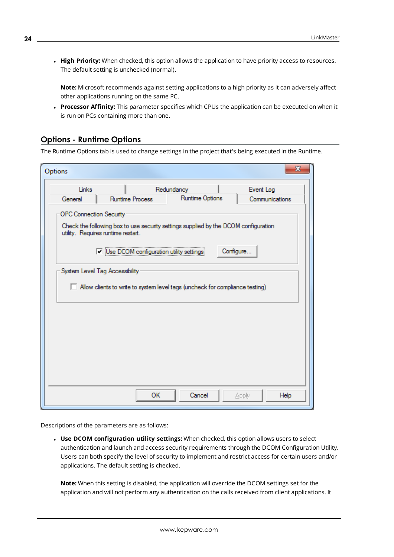<sup>l</sup> **High Priority:** When checked, this option allows the application to have priority access to resources. The default setting is unchecked (normal).

**Note:** Microsoft recommends against setting applications to a high priority as it can adversely affect other applications running on the same PC.

**Processor Affinity:** This parameter specifies which CPUs the application can be executed on when it is run on PCs containing more than one.

# <span id="page-23-0"></span>**Options - Runtime Options**

The Runtime Options tab is used to change settings in the project that's being executed in the Runtime.

| Options                        |                                                                                                                           |                 | х              |
|--------------------------------|---------------------------------------------------------------------------------------------------------------------------|-----------------|----------------|
| Links                          |                                                                                                                           | Redundancy      | Event Log      |
| General                        | <b>Runtime Process</b>                                                                                                    | Runtime Options | Communications |
| <b>OPC Connection Security</b> |                                                                                                                           |                 |                |
|                                | Check the following box to use security settings supplied by the DCOM configuration<br>utility. Requires runtime restart. |                 |                |
|                                | V Use DCOM configuration utility settings                                                                                 |                 | Configure      |
|                                | System Level Tag Accessibility                                                                                            |                 |                |
|                                |                                                                                                                           |                 |                |
|                                | Allow clients to write to system level tags (uncheck for compliance testing)                                              |                 |                |
|                                |                                                                                                                           |                 |                |
|                                |                                                                                                                           |                 |                |
|                                |                                                                                                                           |                 |                |
|                                |                                                                                                                           |                 |                |
|                                |                                                                                                                           |                 |                |
|                                |                                                                                                                           |                 |                |
|                                |                                                                                                                           |                 |                |
|                                |                                                                                                                           |                 |                |

Descriptions of the parameters are as follows:

<sup>l</sup> **Use DCOM configuration utility settings:** When checked, this option allows users to select authentication and launch and access security requirements through the DCOM Configuration Utility. Users can both specify the level of security to implement and restrict access for certain users and/or applications. The default setting is checked.

**Note:** When this setting is disabled, the application will override the DCOM settings set for the application and will not perform any authentication on the calls received from client applications. It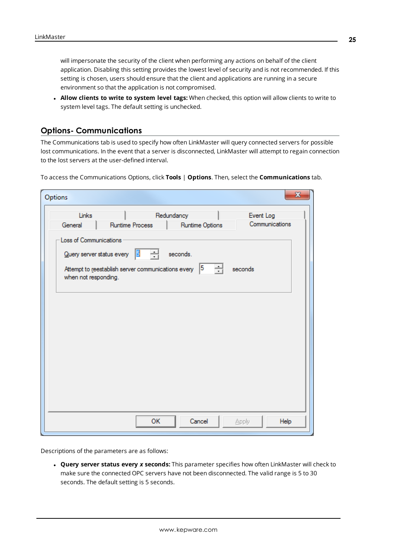will impersonate the security of the client when performing any actions on behalf of the client application. Disabling this setting provides the lowest level of security and is not recommended. If this setting is chosen, users should ensure that the client and applications are running in a secure environment so that the application is not compromised.

<sup>l</sup> **Allow clients to write to system level tags:** When checked, this option will allow clients to write to system level tags. The default setting is unchecked.

#### <span id="page-24-0"></span>**Options- Communications**

The Communications tab is used to specify how often LinkMaster will query connected servers for possible lost communications. In the event that a server is disconnected, LinkMaster will attempt to regain connection to the lost servers at the user-defined interval.

To access the Communications Options, click **Tools** | **Options**. Then, select the **Communications** tab.

| Options                           |                                                                                      |                 | $\mathbf{x}$                |
|-----------------------------------|--------------------------------------------------------------------------------------|-----------------|-----------------------------|
| Links                             |                                                                                      | Redundancy      | Event Log<br>Communications |
| General<br>Loss of Communications | <b>Runtime Process</b>                                                               | Runtime Options |                             |
|                                   | 릨<br>$Q$ uery server status every $\frac{5}{3}$                                      | seconds.        |                             |
| when not responding.              | Attempt to reestablish server communications every $\begin{bmatrix} 5 \end{bmatrix}$ |                 | ÷L.<br>seconds              |
|                                   |                                                                                      |                 |                             |
|                                   |                                                                                      |                 |                             |
|                                   |                                                                                      |                 |                             |
|                                   |                                                                                      |                 |                             |
|                                   |                                                                                      |                 |                             |
|                                   |                                                                                      |                 |                             |
|                                   |                                                                                      |                 |                             |
|                                   |                                                                                      |                 |                             |
|                                   | <b>OK</b>                                                                            | Cancel          | Help<br>Apply               |

Descriptions of the parameters are as follows:

<sup>l</sup> **Query server status every** *x* **seconds:** This parameter specifies how often LinkMaster will check to make sure the connected OPC servers have not been disconnected. The valid range is 5 to 30 seconds. The default setting is 5 seconds.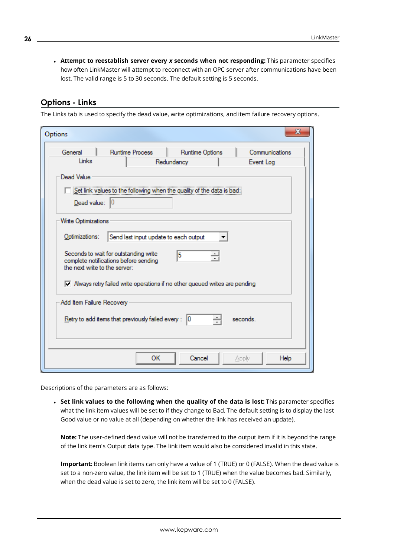<sup>l</sup> **Attempt to reestablish server every** *x* **seconds when not responding:** This parameter specifies how often LinkMaster will attempt to reconnect with an OPC server after communications have been lost. The valid range is 5 to 30 seconds. The default setting is 5 seconds.

# <span id="page-25-0"></span>**Options - Links**

The Links tab is used to specify the dead value, write optimizations, and item failure recovery options.

| Options                                                                                                         |                                       |                | х |
|-----------------------------------------------------------------------------------------------------------------|---------------------------------------|----------------|---|
| <b>Runtime Process</b><br>General                                                                               | Runtime Options                       | Communications |   |
| Links                                                                                                           | Redundancy                            | Event Log      |   |
| Dead Value                                                                                                      |                                       |                |   |
| Set link values to the following when the quality of the data is bad                                            |                                       |                |   |
| Dead value:<br>$\mathsf{I}$                                                                                     |                                       |                |   |
| Write Optimizations                                                                                             |                                       |                |   |
| Optimizations:                                                                                                  | Send last input update to each output |                |   |
| Seconds to wait for outstanding write<br>complete notifications before sending<br>the next write to the server: | 5                                     |                |   |
| $\nabla$ Always retry failed write operations if no other queued writes are pending                             |                                       |                |   |
| Add Item Failure Recovery                                                                                       |                                       |                |   |
| <u>Retry to add items that previously failed every:</u> $ 0 $                                                   | ÷                                     | seconds.       |   |
|                                                                                                                 |                                       |                |   |
| OК                                                                                                              | Cancel                                | Help<br>Apply  |   |

Descriptions of the parameters are as follows:

<sup>l</sup> **Set link values to the following when the quality of the data is lost:** This parameter specifies what the link item values will be set to if they change to Bad. The default setting is to display the last Good value or no value at all (depending on whether the link has received an update).

**Note:** The user-defined dead value will not be transferred to the output item if it is beyond the range of the link item's Output data type. The link item would also be considered invalid in this state.

**Important:** Boolean link items can only have a value of 1 (TRUE) or 0 (FALSE). When the dead value is set to a non-zero value, the link item will be set to 1 (TRUE) when the value becomes bad. Similarly, when the dead value is set to zero, the link item will be set to 0 (FALSE).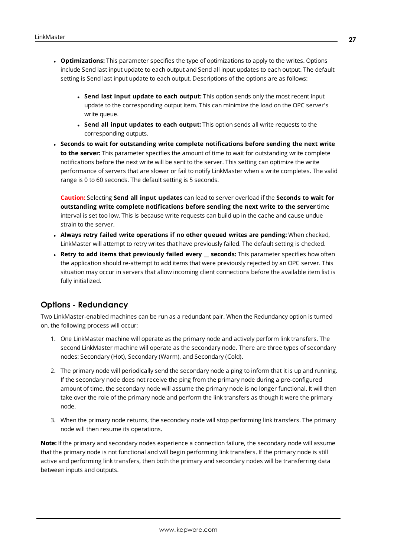- **Optimizations:** This parameter specifies the type of optimizations to apply to the writes. Options include Send last input update to each output and Send all input updates to each output. The default setting is Send last input update to each output. Descriptions of the options are as follows:
	- <sup>l</sup> **Send last input update to each output:** This option sends only the most recent input update to the corresponding output item. This can minimize the load on the OPC server's write queue.
	- <sup>l</sup> **Send all input updates to each output:** This option sends all write requests to the corresponding outputs.
- <sup>l</sup> **Seconds to wait for outstanding write complete notifications before sending the next write to the server:** This parameter specifies the amount of time to wait for outstanding write complete notifications before the next write will be sent to the server. This setting can optimize the write performance of servers that are slower or fail to notify LinkMaster when a write completes. The valid range is 0 to 60 seconds. The default setting is 5 seconds.

**Caution:** Selecting **Send all input updates** can lead to server overload if the **Seconds to wait for outstanding write complete notifications before sending the next write to the server** time interval is set too low. This is because write requests can build up in the cache and cause undue strain to the server.

- <sup>l</sup> **Always retry failed write operations if no other queued writes are pending:** When checked, LinkMaster will attempt to retry writes that have previously failed. The default setting is checked.
- <sup>l</sup> **Retry to add items that previously failed every \_\_ seconds:** This parameter specifies how often the application should re-attempt to add items that were previously rejected by an OPC server. This situation may occur in servers that allow incoming client connections before the available item list is fully initialized.

# <span id="page-26-0"></span>**Options - Redundancy**

Two LinkMaster-enabled machines can be run as a redundant pair. When the Redundancy option is turned on, the following process will occur:

- 1. One LinkMaster machine will operate as the primary node and actively perform link transfers. The second LinkMaster machine will operate as the secondary node. There are three types of secondary nodes: Secondary (Hot), Secondary (Warm), and Secondary (Cold).
- 2. The primary node will periodically send the secondary node a ping to inform that it is up and running. If the secondary node does not receive the ping from the primary node during a pre-configured amount of time, the secondary node will assume the primary node is no longer functional. It will then take over the role of the primary node and perform the link transfers as though it were the primary node.
- 3. When the primary node returns, the secondary node will stop performing link transfers. The primary node will then resume its operations.

**Note:** If the primary and secondary nodes experience a connection failure, the secondary node will assume that the primary node is not functional and will begin performing link transfers. If the primary node is still active and performing link transfers, then both the primary and secondary nodes will be transferring data between inputs and outputs.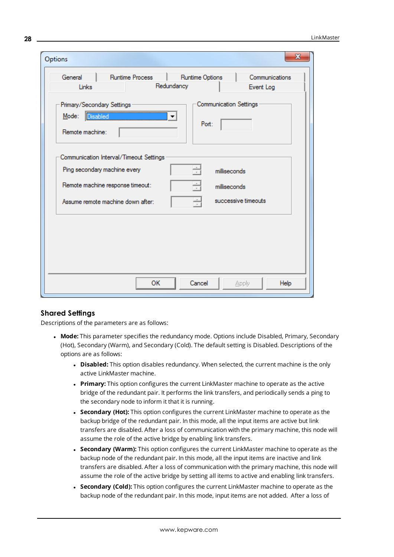| Options                                                          |                                             |
|------------------------------------------------------------------|---------------------------------------------|
| General<br><b>Runtime Process</b>                                | Runtime Options<br>Communications           |
| Links                                                            | Redundancy<br>Event Log                     |
| Primary/Secondary Settings<br>Disabled<br>Mode:                  | <b>Communication Settings</b><br>▼<br>Port: |
| Remote machine:                                                  |                                             |
| Ping secondary machine every<br>Remote machine response timeout: | 싂<br>milliseconds<br>싂<br>milliseconds      |
| Assume remote machine down after:                                | $\frac{1}{\tau}$<br>successive timeouts     |
|                                                                  |                                             |
|                                                                  |                                             |

#### **Shared Settings**

Descriptions of the parameters are as follows:

- **Mode:** This parameter specifies the redundancy mode. Options include Disabled, Primary, Secondary (Hot), Secondary (Warm), and Secondary (Cold). The default setting is Disabled. Descriptions of the options are as follows:
	- **Disabled:** This option disables redundancy. When selected, the current machine is the only active LinkMaster machine.
	- **Primary:** This option configures the current LinkMaster machine to operate as the active bridge of the redundant pair. It performs the link transfers, and periodically sends a ping to the secondary node to inform it that it is running.
	- **. Secondary (Hot):** This option configures the current LinkMaster machine to operate as the backup bridge of the redundant pair. In this mode, all the input items are active but link transfers are disabled. After a loss of communication with the primary machine, this node will assume the role of the active bridge by enabling link transfers.
	- **. Secondary (Warm):** This option configures the current LinkMaster machine to operate as the backup node of the redundant pair. In this mode, all the input items are inactive and link transfers are disabled. After a loss of communication with the primary machine, this node will assume the role of the active bridge by setting all items to active and enabling link transfers.
	- **. Secondary (Cold):** This option configures the current LinkMaster machine to operate as the backup node of the redundant pair. In this mode, input items are not added. After a loss of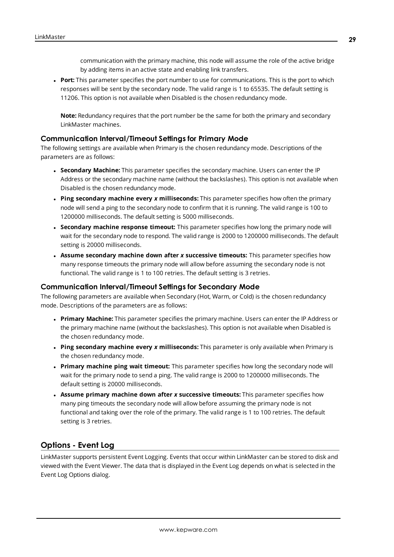communication with the primary machine, this node will assume the role of the active bridge by adding items in an active state and enabling link transfers.

**Port:** This parameter specifies the port number to use for communications. This is the port to which responses will be sent by the secondary node. The valid range is 1 to 65535. The default setting is 11206. This option is not available when Disabled is the chosen redundancy mode.

**Note:** Redundancy requires that the port number be the same for both the primary and secondary LinkMaster machines.

#### **Communication Interval/Timeout Settings for Primary Mode**

The following settings are available when Primary is the chosen redundancy mode. Descriptions of the parameters are as follows:

- **. Secondary Machine:** This parameter specifies the secondary machine. Users can enter the IP Address or the secondary machine name (without the backslashes). This option is not available when Disabled is the chosen redundancy mode.
- <sup>l</sup> **Ping secondary machine every** *x* **milliseconds:** This parameter specifies how often the primary node will send a ping to the secondary node to confirm that it is running. The valid range is 100 to 1200000 milliseconds. The default setting is 5000 milliseconds.
- <sup>l</sup> **Secondary machine response timeout:** This parameter specifies how long the primary node will wait for the secondary node to respond. The valid range is 2000 to 1200000 milliseconds. The default setting is 20000 milliseconds.
- <sup>l</sup> **Assume secondary machine down after** *x* **successive timeouts:** This parameter specifies how many response timeouts the primary node will allow before assuming the secondary node is not functional. The valid range is 1 to 100 retries. The default setting is 3 retries.

#### **Communication Interval/Timeout Settings for Secondary Mode**

The following parameters are available when Secondary (Hot, Warm, or Cold) is the chosen redundancy mode. Descriptions of the parameters are as follows:

- <sup>l</sup> **Primary Machine:** This parameter specifies the primary machine. Users can enter the IP Address or the primary machine name (without the backslashes). This option is not available when Disabled is the chosen redundancy mode.
- <sup>l</sup> **Ping secondary machine every** *x* **milliseconds:** This parameter is only available when Primary is the chosen redundancy mode.
- <sup>l</sup> **Primary machine ping wait timeout:** This parameter specifies how long the secondary node will wait for the primary node to send a ping. The valid range is 2000 to 1200000 milliseconds. The default setting is 20000 milliseconds.
- <sup>l</sup> **Assume primary machine down after** *x* **successive timeouts:** This parameter specifies how many ping timeouts the secondary node will allow before assuming the primary node is not functional and taking over the role of the primary. The valid range is 1 to 100 retries. The default setting is 3 retries.

# <span id="page-28-0"></span>**Options - Event Log**

LinkMaster supports persistent Event Logging. Events that occur within LinkMaster can be stored to disk and viewed with the Event Viewer. The data that is displayed in the Event Log depends on what is selected in the Event Log Options dialog.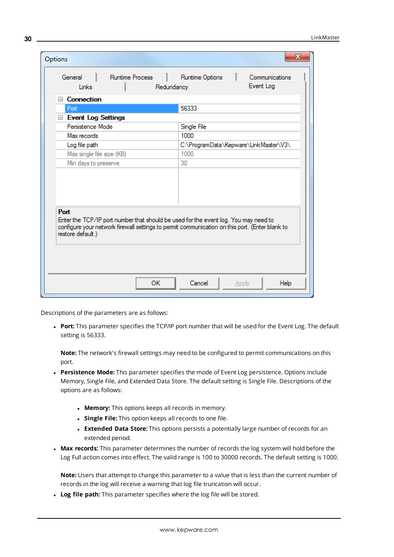| General<br><b>Runtime Process</b> | Runtime Options<br>Communications                                                                                                                                                     |
|-----------------------------------|---------------------------------------------------------------------------------------------------------------------------------------------------------------------------------------|
| Links                             | Event Log<br>Redundancy                                                                                                                                                               |
| $\Box$ Connection                 |                                                                                                                                                                                       |
| Port                              | 56333                                                                                                                                                                                 |
| Event Log Settings                |                                                                                                                                                                                       |
| Persistence Mode                  | Single File                                                                                                                                                                           |
| Max records                       | 1000                                                                                                                                                                                  |
| Log file path                     | C:\ProgramData\Kepware\LinkMaster\V3\                                                                                                                                                 |
| Max single file size (KB)         | 1000                                                                                                                                                                                  |
|                                   |                                                                                                                                                                                       |
| Min days to preserve              | 30                                                                                                                                                                                    |
| Port<br>restore default.)         | Enter the TCP/IP port number that should be used for the event log. You may need to<br>configure your network firewall settings to permit communication on this port. (Enter blank to |

Descriptions of the parameters are as follows:

**Port:** This parameter specifies the TCP/IP port number that will be used for the Event Log. The default setting is 56333.

**Note:** The network's firewall settings may need to be configured to permit communications on this port.

- **Persistence Mode:** This parameter specifies the mode of Event Log persistence. Options include Memory, Single File, and Extended Data Store. The default setting is Single File. Descriptions of the options are as follows:
	- **Memory:** This options keeps all records in memory.
	- **.** Single File: This option keeps all records to one file.
	- **Extended Data Store:** This options persists a potentially large number of records for an extended period.
- **Max records:** This parameter determines the number of records the log system will hold before the Log Full action comes into effect. The valid range is 100 to 30000 records. The default setting is 1000.

**Note:** Users that attempt to change this parameter to a value that is less than the current number of records in the log will receive a warning that log file truncation will occur.

<sup>l</sup> **Log file path:** This parameter specifies where the log file will be stored.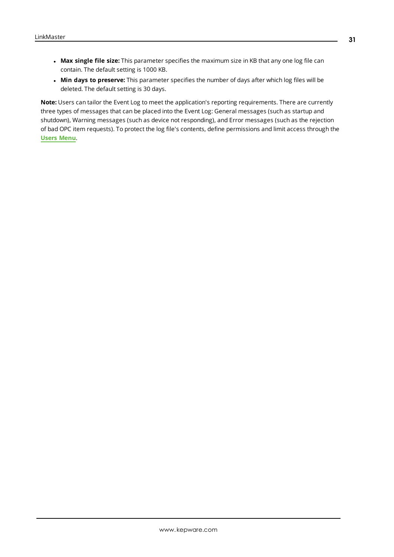- <sup>l</sup> **Max single file size:** This parameter specifies the maximum size in KB that any one log file can contain. The default setting is 1000 KB.
- <sup>l</sup> **Min days to preserve:** This parameter specifies the number of days after which log files will be deleted. The default setting is 30 days.

**Note:** Users can tailor the Event Log to meet the application's reporting requirements. There are currently three types of messages that can be placed into the Event Log: General messages (such as startup and shutdown), Warning messages (such as device not responding), and Error messages (such as the rejection of bad OPC item requests). To protect the log file's contents, define permissions and limit access through the **Users [Menu](#page-15-0)**.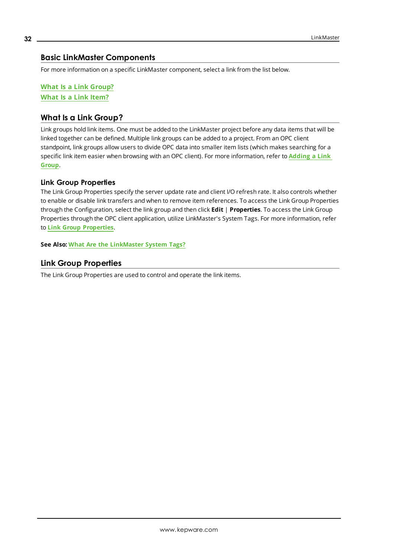# <span id="page-31-0"></span>**Basic LinkMaster Components**

For more information on a specific LinkMaster component, select a link from the list below.

**What Is a Link [Group?](#page-31-1) What Is a Link [Item?](#page-33-0)**

## <span id="page-31-1"></span>**What Is a Link Group?**

Link groups hold link items. One must be added to the LinkMaster project before any data items that will be linked together can be defined. Multiple link groups can be added to a project. From an OPC client standpoint, link groups allow users to divide OPC data into smaller item lists (which makes searching for a specific link item easier when browsing with an OPC client). For more information, refer to **[Adding](#page-47-0) a Link [Group](#page-47-0)**.

#### **Link Group Properties**

The Link Group Properties specify the server update rate and client I/O refresh rate. It also controls whether to enable or disable link transfers and when to remove item references. To access the Link Group Properties through the Configuration, select the link group and then click **Edit** | **Properties**. To access the Link Group Properties through the OPC client application, utilize LinkMaster's System Tags. For more information, refer to **Link Group [Properties](#page-31-2)**.

<span id="page-31-2"></span>**See Also: What Are the [LinkMaster](#page-43-0) System Tags?**

## **Link Group Properties**

The Link Group Properties are used to control and operate the link items.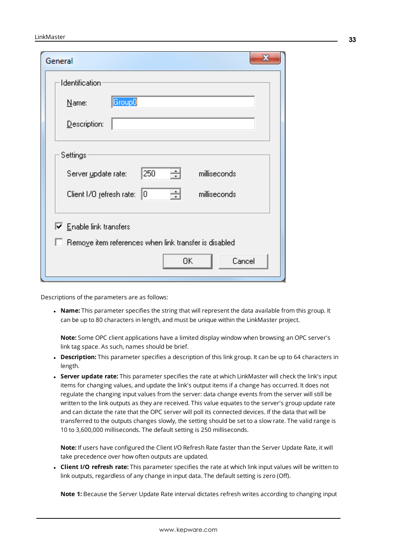| General                                                                                                          | х |
|------------------------------------------------------------------------------------------------------------------|---|
| <b>Identification</b>                                                                                            |   |
| Group0<br>Name:                                                                                                  |   |
| Description:                                                                                                     |   |
| Settings<br>250<br>÷<br>milliseconds<br>Server update rate:<br>싁<br>milliseconds<br>Client I/O refresh rate: 0   |   |
| $\overline{\triangledown}$ Enable link transfers<br>$\Box$ Remove item references when link transfer is disabled |   |
| 0K<br>Cancel                                                                                                     |   |

Descriptions of the parameters are as follows:

**Name:** This parameter specifies the string that will represent the data available from this group. It can be up to 80 characters in length, and must be unique within the LinkMaster project.

**Note:** Some OPC client applications have a limited display window when browsing an OPC server's link tag space. As such, names should be brief.

- Description: This parameter specifies a description of this link group. It can be up to 64 characters in length.
- <sup>l</sup> **Server update rate:** This parameter specifies the rate at which LinkMaster will check the link's input items for changing values, and update the link's output items if a change has occurred. It does not regulate the changing input values from the server: data change events from the server will still be written to the link outputs as they are received. This value equates to the server's group update rate and can dictate the rate that the OPC server will poll its connected devices. If the data that will be transferred to the outputs changes slowly, the setting should be set to a slow rate. The valid range is 10 to 3,600,000 milliseconds. The default setting is 250 milliseconds.

**Note:** If users have configured the Client I/O Refresh Rate faster than the Server Update Rate, it will take precedence over how often outputs are updated.

<sup>l</sup> **Client I/O refresh rate:** This parameter specifies the rate at which link input values will be written to link outputs, regardless of any change in input data. The default setting is zero (Off).

**Note 1:** Because the Server Update Rate interval dictates refresh writes according to changing input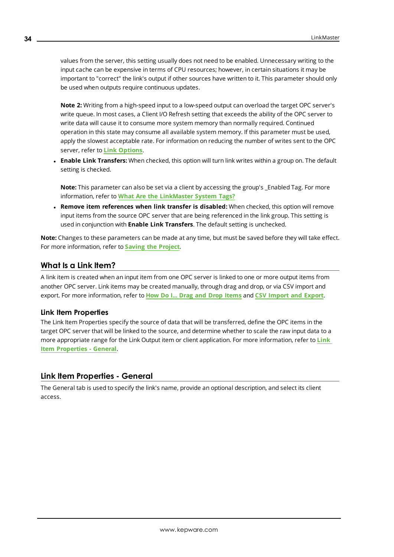values from the server, this setting usually does not need to be enabled. Unnecessary writing to the input cache can be expensive in terms of CPU resources; however, in certain situations it may be important to "correct" the link's output if other sources have written to it. This parameter should only be used when outputs require continuous updates.

**Note 2:** Writing from a high-speed input to a low-speed output can overload the target OPC server's write queue. In most cases, a Client I/O Refresh setting that exceeds the ability of the OPC server to write data will cause it to consume more system memory than normally required. Continued operation in this state may consume all available system memory. If this parameter must be used, apply the slowest acceptable rate. For information on reducing the number of writes sent to the OPC server, refer to **Link [Options](#page-25-0)**.

<sup>l</sup> **Enable Link Transfers:** When checked, this option will turn link writes within a group on. The default setting is checked.

**Note:** This parameter can also be set via a client by accessing the group's Enabled Tag. For more information, refer to **What Are the [LinkMaster](#page-43-0) System Tags?**

<sup>l</sup> **Remove item references when link transfer is disabled:** When checked, this option will remove input items from the source OPC server that are being referenced in the link group. This setting is used in conjunction with **Enable Link Transfers**. The default setting is unchecked.

**Note:** Changes to these parameters can be made at any time, but must be saved before they will take effect. For more information, refer to **Saving the [Project](#page-56-0)**.

## <span id="page-33-0"></span>**What Is a Link Item?**

A link item is created when an input item from one OPC server is linked to one or more output items from another OPC server. Link items may be created manually, through drag and drop, or via CSV import and export. For more information, refer to **How Do I... Drag [and Drop](#page-58-0) Items** and **CSV [Import](#page-39-0) and Export**.

#### **Link Item Properties**

The Link Item Properties specify the source of data that will be transferred, define the OPC items in the target OPC server that will be linked to the source, and determine whether to scale the raw input data to a more appropriate range for the Link Output item or client application. For more information, refer to **[Link](#page-33-1) Item [Properties](#page-33-1) - General**.

## <span id="page-33-1"></span>**Link Item Properties - General**

The General tab is used to specify the link's name, provide an optional description, and select its client access.

**34**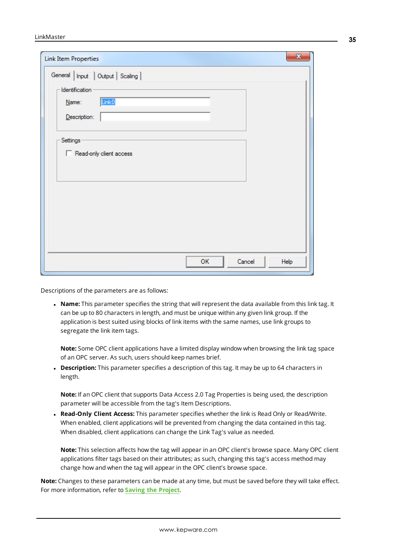| <b>Link Item Properties</b>                                                                                                       | $\mathbf{x}$ |
|-----------------------------------------------------------------------------------------------------------------------------------|--------------|
| General   Input   Output   Scaling  <br>· Identification<br>Link0<br>Name:<br>Description:<br>Settings<br>Read-only client access |              |
| Cancel<br>OK                                                                                                                      | Help         |

Descriptions of the parameters are as follows:

**Name:** This parameter specifies the string that will represent the data available from this link tag. It can be up to 80 characters in length, and must be unique within any given link group. If the application is best suited using blocks of link items with the same names, use link groups to segregate the link item tags.

**Note:** Some OPC client applications have a limited display window when browsing the link tag space of an OPC server. As such, users should keep names brief.

**Description:** This parameter specifies a description of this tag. It may be up to 64 characters in length.

**Note:** If an OPC client that supports Data Access 2.0 Tag Properties is being used, the description parameter will be accessible from the tag's Item Descriptions.

<sup>l</sup> **Read-Only Client Access:** This parameter specifies whether the link is Read Only or Read/Write. When enabled, client applications will be prevented from changing the data contained in this tag. When disabled, client applications can change the Link Tag's value as needed.

**Note:** This selection affects how the tag will appear in an OPC client's browse space. Many OPC client applications filter tags based on their attributes; as such, changing this tag's access method may change how and when the tag will appear in the OPC client's browse space.

**Note:** Changes to these parameters can be made at any time, but must be saved before they will take effect. For more information, refer to **Saving the [Project](#page-56-0)**.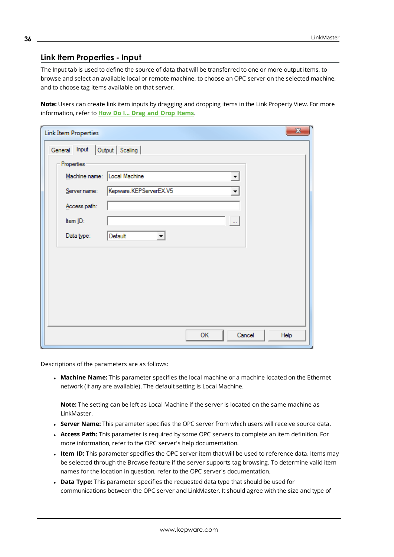## <span id="page-35-0"></span>**Link Item Properties - Input**

The Input tab is used to define the source of data that will be transferred to one or more output items, to browse and select an available local or remote machine, to choose an OPC server on the selected machine, and to choose tag items available on that server.

**Note:** Users can create link item inputs by dragging and dropping items in the Link Property View. For more information, refer to **How Do I... Drag and Drop [Items](#page-58-0)**.

| <b>Link Item Properties</b>                                | $\mathbf{x}$ |
|------------------------------------------------------------|--------------|
| Output   Scaling  <br>General Input                        |              |
| Properties                                                 |              |
| Local Machine<br>Machine name:<br>$\overline{\phantom{a}}$ |              |
| Kepware.KEPServerEX.V5<br>Server name:                     |              |
| Access path:                                               |              |
| Item ID:<br>$\left\vert \dots \right\rangle$               |              |
| Default<br>Data type:<br>▼                                 |              |
|                                                            |              |
|                                                            |              |
|                                                            |              |
|                                                            |              |
|                                                            |              |
|                                                            |              |
| Cancel<br>OK                                               | Help         |
|                                                            |              |

Descriptions of the parameters are as follows:

<span id="page-35-4"></span><sup>l</sup> **Machine Name:** This parameter specifies the local machine or a machine located on the Ethernet network (if any are available). The default setting is Local Machine.

<span id="page-35-5"></span>**Note:** The setting can be left as Local Machine if the server is located on the same machine as LinkMaster.

- <span id="page-35-1"></span>**. Server Name:** This parameter specifies the OPC server from which users will receive source data.
- <sup>l</sup> **Access Path:** This parameter is required by some OPC servers to complete an item definition. For more information, refer to the OPC server's help documentation.
- <span id="page-35-3"></span><sup>l</sup> **Item ID:** This parameter specifies the OPC server item that will be used to reference data. Items may be selected through the Browse feature if the server supports tag browsing. To determine valid item names for the location in question, refer to the OPC server's documentation.
- <span id="page-35-2"></span>**.** Data Type: This parameter specifies the requested data type that should be used for communications between the OPC server and LinkMaster. It should agree with the size and type of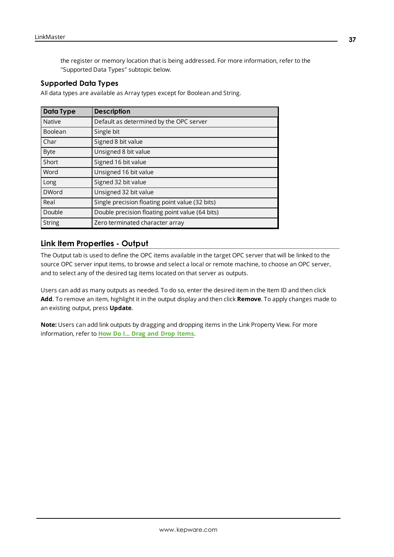the register or memory location that is being addressed. For more information, refer to the "Supported Data Types" subtopic below.

#### **Supported Data Types**

All data types are available as Array types except for Boolean and String.

| <b>Data Type</b> | <b>Description</b>                              |
|------------------|-------------------------------------------------|
| <b>Native</b>    | Default as determined by the OPC server         |
| Boolean          | Single bit                                      |
| Char             | Signed 8 bit value                              |
| <b>Byte</b>      | Unsigned 8 bit value                            |
| Short            | Signed 16 bit value                             |
| Word             | Unsigned 16 bit value                           |
| Long             | Signed 32 bit value                             |
| <b>DWord</b>     | Unsigned 32 bit value                           |
| Real             | Single precision floating point value (32 bits) |
| Double           | Double precision floating point value (64 bits) |
| <b>String</b>    | Zero terminated character array                 |

# <span id="page-36-0"></span>**Link Item Properties - Output**

The Output tab is used to define the OPC items available in the target OPC server that will be linked to the source OPC server input items, to browse and select a local or remote machine, to choose an OPC server, and to select any of the desired tag items located on that server as outputs.

Users can add as many outputs as needed. To do so, enter the desired item in the Item ID and then click **Add**. To remove an item, highlight it in the output display and then click **Remove**. To apply changes made to an existing output, press **Update**.

**Note:** Users can add link outputs by dragging and dropping items in the Link Property View. For more information, refer to **How Do I... Drag and Drop [Items](#page-58-0)**.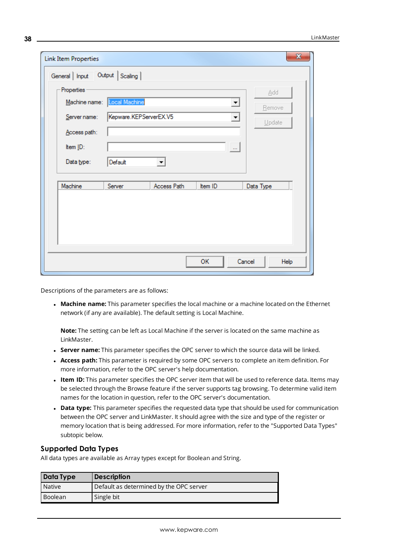| <b>Link Item Properties</b> |                        |                     |          | $\mathbf{x}$   |
|-----------------------------|------------------------|---------------------|----------|----------------|
| General   Input             | Output   Scaling       |                     |          |                |
| Properties                  |                        |                     |          | Add            |
| Machine name:               | Local Machine          |                     | ▼        | Bemove         |
| Server name:                | Kepware.KEPServerEX.V5 |                     | ▼        | Update         |
| Access path:                |                        |                     |          |                |
| Item ID:                    |                        |                     | $\ldots$ |                |
| Data type:                  | Default                | $\vert \cdot \vert$ |          |                |
|                             |                        |                     |          |                |
| Machine                     | Server                 | Access Path         | Item ID  | Data Type      |
|                             |                        |                     |          |                |
|                             |                        |                     |          |                |
|                             |                        |                     |          |                |
|                             |                        |                     |          |                |
|                             |                        |                     | ОK       | Cancel<br>Help |

Descriptions of the parameters are as follows:

<span id="page-37-3"></span><sup>l</sup> **Machine name:** This parameter specifies the local machine or a machine located on the Ethernet network (if any are available). The default setting is Local Machine.

<span id="page-37-4"></span>**Note:** The setting can be left as Local Machine if the server is located on the same machine as LinkMaster.

- <span id="page-37-0"></span><sup>l</sup> **Server name:** This parameter specifies the OPC server to which the source data will be linked.
- <sup>l</sup> **Access path:** This parameter is required by some OPC servers to complete an item definition. For more information, refer to the OPC server's help documentation.
- <span id="page-37-2"></span>**.** Item ID: This parameter specifies the OPC server item that will be used to reference data. Items may be selected through the Browse feature if the server supports tag browsing. To determine valid item names for the location in question, refer to the OPC server's documentation.
- <span id="page-37-1"></span>**• Data type:** This parameter specifies the requested data type that should be used for communication between the OPC server and LinkMaster. It should agree with the size and type of the register or memory location that is being addressed. For more information, refer to the "Supported Data Types" subtopic below.

#### **Supported Data Types**

All data types are available as Array types except for Boolean and String.

| Data Type | <b>Description</b>                      |
|-----------|-----------------------------------------|
| Native    | Default as determined by the OPC server |
| Boolean   | Single bit                              |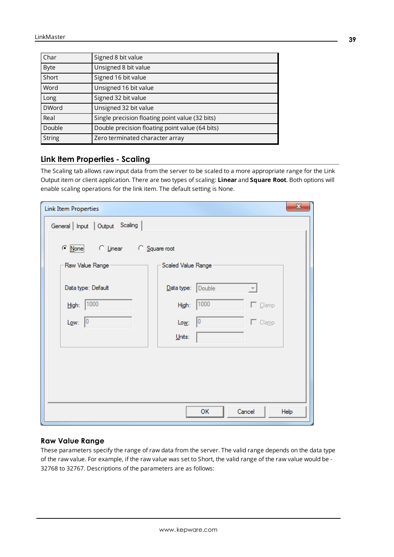| Char          | Signed 8 bit value                              |
|---------------|-------------------------------------------------|
| <b>Byte</b>   | Unsigned 8 bit value                            |
| Short         | Signed 16 bit value                             |
| Word          | Unsigned 16 bit value                           |
| Long          | Signed 32 bit value                             |
| <b>DWord</b>  | Unsigned 32 bit value                           |
| Real          | Single precision floating point value (32 bits) |
| Double        | Double precision floating point value (64 bits) |
| <b>String</b> | Zero terminated character array                 |

# <span id="page-38-0"></span>**Link Item Properties - Scaling**

The Scaling tab allows raw input data from the server to be scaled to a more appropriate range for the Link Output item or client application. There are two types of scaling: **Linear** and **Square Root**. Both options will enable scaling operations for the link item. The default setting is None.

| <b>Link Item Properties</b>                | $\mathbf{x}$                                  |
|--------------------------------------------|-----------------------------------------------|
| General   Input   Output Scaling           |                                               |
| $\subseteq$ None<br>C Linear C Square root |                                               |
| Raw Value Range-                           | -Scaled Value Range -                         |
| Data type: Default                         | Data type: Double<br>$\overline{\phantom{m}}$ |
| High: 1000                                 | 1000<br>$\Box$ Clamp<br>High:                 |
| $L_{QW}$ : 0                               | $\Box$ Clamp<br>Low:<br>10                    |
|                                            | $Units$                                       |
|                                            |                                               |
|                                            |                                               |
|                                            |                                               |
|                                            |                                               |
|                                            | Cancel<br>ОK<br>Help                          |

## **Raw Value Range**

These parameters specify the range of raw data from the server. The valid range depends on the data type of the raw value. For example, if the raw value was set to Short, the valid range of the raw value would be - 32768 to 32767. Descriptions of the parameters are as follows: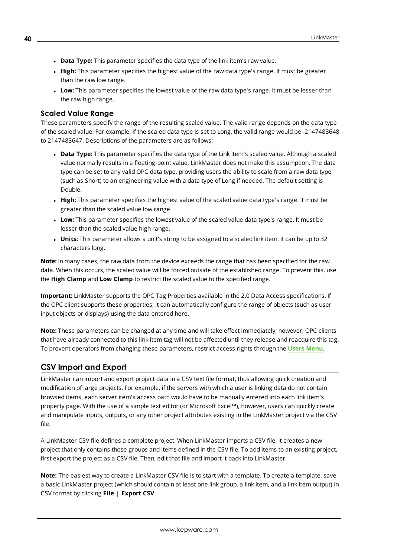- **.** Data Type: This parameter specifies the data type of the link item's raw value.
- **High:** This parameter specifies the highest value of the raw data type's range. It must be greater than the raw low range.
- Low: This parameter specifies the lowest value of the raw data type's range. It must be lesser than the raw high range.

#### **Scaled Value Range**

These parameters specify the range of the resulting scaled value. The valid range depends on the data type of the scaled value. For example, if the scaled data type is set to Long, the valid range would be -2147483648 to 2147483647. Descriptions of the parameters are as follows:

- <sup>l</sup> **Data Type:** This parameter specifies the data type of the Link Item's scaled value. Although a scaled value normally results in a floating-point value, LinkMaster does not make this assumption. The data type can be set to any valid OPC data type, providing users the ability to scale from a raw data type (such as Short) to an engineering value with a data type of Long if needed. The default setting is Double.
- High: This parameter specifies the highest value of the scaled value data type's range. It must be greater than the scaled value low range.
- Low: This parameter specifies the lowest value of the scaled value data type's range. It must be lesser than the scaled value high range.
- **Units:** This parameter allows a unit's string to be assigned to a scaled link item. It can be up to 32 characters long.

**Note:** In many cases, the raw data from the device exceeds the range that has been specified for the raw data. When this occurs, the scaled value will be forced outside of the established range. To prevent this, use the **High Clamp** and **Low Clamp** to restrict the scaled value to the specified range.

<span id="page-39-1"></span>**Important:** LinkMaster supports the OPC Tag Properties available in the 2.0 Data Access specifications. If the OPC client supports these properties, it can automatically configure the range of objects (such as user input objects or displays) using the data entered here.

**Note:** These parameters can be changed at any time and will take effect immediately; however, OPC clients that have already connected to this link item tag will not be affected until they release and reacquire this tag. To prevent operators from changing these parameters, restrict access rights through the **Users [Menu](#page-15-0)**.

# <span id="page-39-0"></span>**CSV Import and Export**

LinkMaster can import and export project data in a CSV text file format, thus allowing quick creation and modification of large projects. For example, if the servers with which a user is linking data do not contain browsed items, each server item's access path would have to be manually entered into each link item's property page. With the use of a simple text editor (or Microsoft Excel™), however, users can quickly create and manipulate inputs, outputs, or any other project attributes existing in the LinkMaster project via the CSV file.

A LinkMaster CSV file defines a complete project. When LinkMaster imports a CSV file, it creates a new project that only contains those groups and items defined in the CSV file. To add items to an existing project, first export the project as a CSV file. Then, edit that file and import it back into LinkMaster.

**Note:** The easiest way to create a LinkMaster CSV file is to start with a template. To create a template, save a basic LinkMaster project (which should contain at least one link group, a link item, and a link item output) in CSV format by clicking **File** | **Export CSV**.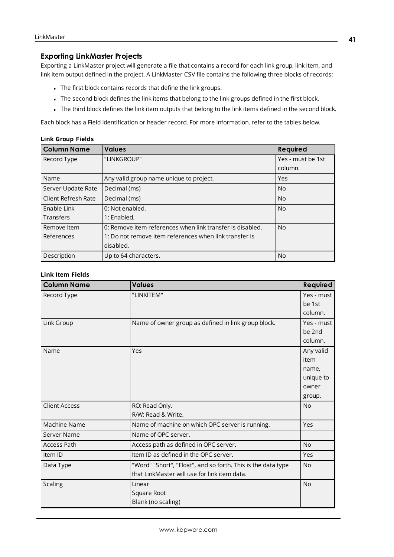#### **Exporting LinkMaster Projects**

Exporting a LinkMaster project will generate a file that contains a record for each link group, link item, and link item output defined in the project. A LinkMaster CSV file contains the following three blocks of records:

- The first block contains records that define the link groups.
- The second block defines the link items that belong to the link groups defined in the first block.
- The third block defines the link item outputs that belong to the link items defined in the second block.

Each block has a Field Identification or header record. For more information, refer to the tables below.

#### **Link Group Fields**

<span id="page-40-5"></span><span id="page-40-1"></span>

| <b>Column Name</b>  | <b>Values</b>                                             | <b>Required</b>   |
|---------------------|-----------------------------------------------------------|-------------------|
| Record Type         | "LINKGROUP"                                               | Yes - must be 1st |
|                     |                                                           | column.           |
| Name                | Any valid group name unique to project.                   | Yes               |
| Server Update Rate  | Decimal (ms)                                              | N <sub>o</sub>    |
| Client Refresh Rate | Decimal (ms)                                              | No.               |
| Enable Link         | 0: Not enabled.                                           | N <sub>o</sub>    |
| Transfers           | 1: Enabled.                                               |                   |
| Remove Item         | 0: Remove item references when link transfer is disabled. | No.               |
| References          | 1: Do not remove item references when link transfer is    |                   |
|                     | disabled.                                                 |                   |
| Description         | Up to 64 characters.                                      | No                |

#### **Link Item Fields**

<span id="page-40-4"></span><span id="page-40-3"></span><span id="page-40-2"></span><span id="page-40-0"></span>

| <b>Column Name</b>   | <b>Values</b>                                                | <b>Required</b> |
|----------------------|--------------------------------------------------------------|-----------------|
| Record Type          | "LINKITEM"                                                   | Yes - must      |
|                      |                                                              | be 1st          |
|                      |                                                              | column.         |
| Link Group           | Name of owner group as defined in link group block.          | Yes - must      |
|                      |                                                              | be 2nd          |
|                      |                                                              | column.         |
| Name                 | Yes                                                          | Any valid       |
|                      |                                                              | item            |
|                      |                                                              | name,           |
|                      |                                                              | unique to       |
|                      |                                                              | owner           |
|                      |                                                              | group.          |
| <b>Client Access</b> | RO: Read Only.                                               | <b>No</b>       |
|                      | R/W: Read & Write.                                           |                 |
| Machine Name         | Name of machine on which OPC server is running.              | Yes             |
| Server Name          | Name of OPC server.                                          |                 |
| <b>Access Path</b>   | Access path as defined in OPC server.                        | <b>No</b>       |
| Item ID              | Item ID as defined in the OPC server.                        | Yes             |
| Data Type            | "Word" "Short", "Float", and so forth. This is the data type | <b>No</b>       |
|                      | that LinkMaster will use for link item data.                 |                 |
| <b>Scaling</b>       | Linear                                                       | <b>No</b>       |
|                      | Square Root                                                  |                 |
|                      | Blank (no scaling)                                           |                 |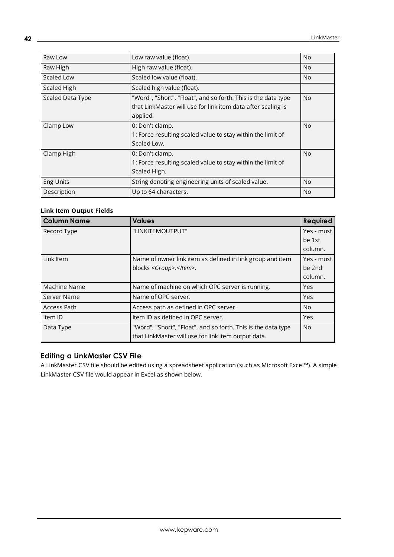| Raw Low          | Low raw value (float).                                                                                                                    | <b>No</b> |
|------------------|-------------------------------------------------------------------------------------------------------------------------------------------|-----------|
| Raw High         | High raw value (float).                                                                                                                   | <b>No</b> |
| Scaled Low       | Scaled low value (float).                                                                                                                 | <b>No</b> |
| Scaled High      | Scaled high value (float).                                                                                                                |           |
| Scaled Data Type | "Word", "Short", "Float", and so forth. This is the data type<br>that LinkMaster will use for link item data after scaling is<br>applied. | <b>No</b> |
| Clamp Low        | 0: Don't clamp.<br>1: Force resulting scaled value to stay within the limit of<br>Scaled Low.                                             | <b>No</b> |
| Clamp High       | 0: Don't clamp.<br>1: Force resulting scaled value to stay within the limit of<br>Scaled High.                                            | <b>No</b> |
| <b>Eng Units</b> | String denoting engineering units of scaled value.                                                                                        | <b>No</b> |
| Description      | Up to 64 characters.                                                                                                                      | <b>No</b> |

## **Link Item Output Fields**

| <b>Column Name</b> | <b>Values</b>                                                 | <b>Required</b> |
|--------------------|---------------------------------------------------------------|-----------------|
| Record Type        | "LINKITEMOUTPUT"                                              | Yes - must      |
|                    |                                                               | be 1st          |
|                    |                                                               | column.         |
| Link Item          | Name of owner link item as defined in link group and item     | Yes - must      |
|                    | blocks <group>.<item>.</item></group>                         | be 2nd          |
|                    |                                                               | column.         |
| Machine Name       | Name of machine on which OPC server is running.               | Yes             |
| Server Name        | Name of OPC server.                                           | Yes             |
| <b>Access Path</b> | Access path as defined in OPC server.                         | N <sub>o</sub>  |
| Item ID            | Item ID as defined in OPC server.                             | Yes             |
| Data Type          | "Word", "Short", "Float", and so forth. This is the data type | No.             |
|                    | that LinkMaster will use for link item output data.           |                 |

# **Editing a LinkMaster CSV File**

A LinkMaster CSV file should be edited using a spreadsheet application (such as Microsoft Excel™). A simple LinkMaster CSV file would appear in Excel as shown below.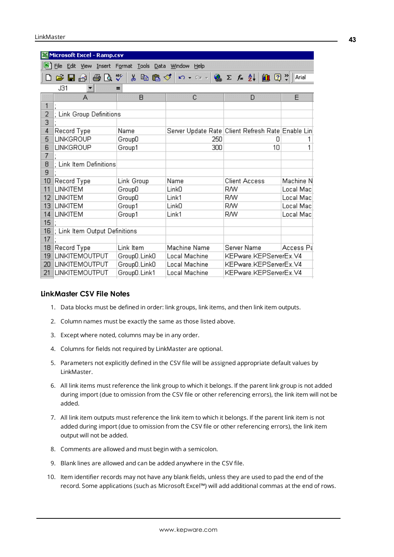|                | <b>Microsoft Excel - Ramp.csv</b> |                     |                           |                                                                                            |           |
|----------------|-----------------------------------|---------------------|---------------------------|--------------------------------------------------------------------------------------------|-----------|
|                | Edit View<br>File                 | Insert Format Tools | Data : Window !<br>Help   |                                                                                            |           |
|                | 60.<br>E.<br>Н<br>昌               | 孯<br>んも色ぐ           | $\sqrt{2}$<br>Caller.     | $\frac{1}{2} \sum f_* \frac{1}{2}$ $\frac{1}{2}$ $\frac{1}{2}$ $\frac{1}{2}$ $\frac{1}{2}$ | Arial     |
|                | J31                               | =                   |                           |                                                                                            |           |
|                | А                                 | B                   | C                         | D                                                                                          | E         |
| 1              |                                   |                     |                           |                                                                                            |           |
| $\overline{2}$ | ; Link Group Definitions          |                     |                           |                                                                                            |           |
| $\overline{3}$ |                                   |                     |                           |                                                                                            |           |
| 4              | Record Type                       | Name                |                           | Server Update Rate Client Refresh Rate Enable Lin                                          |           |
| 5              | LINKGROUP                         | GroupO              | 250                       | Π                                                                                          |           |
| 6              | LINKGROUP                         | Group1              | 300                       | 10                                                                                         | 1         |
| 7              |                                   |                     |                           |                                                                                            |           |
| 8<br>9         | : Link Item Definitions           |                     |                           |                                                                                            |           |
|                |                                   |                     |                           | <b>Client Access</b>                                                                       | Machine N |
| 10<br>11       | Record Type<br><b>LINKITEM</b>    | Link Group          | Name<br>Link <sub>0</sub> | RW                                                                                         | Local Mac |
| 12             | <b>LINKITEM</b>                   | GroupD              | Link1                     | RW                                                                                         | Local Mac |
| 13             | <b>LINKITEM</b>                   | GroupD<br>Group1    | Link <sub>0</sub>         | RW                                                                                         | Local Mac |
| 14             | <b>LINKITEM</b>                   | Group1              | Link1                     | RW                                                                                         | Local Mac |
| 15             |                                   |                     |                           |                                                                                            |           |
| 16             | ; Link Item Output Definitions    |                     |                           |                                                                                            |           |
| 17             |                                   |                     |                           |                                                                                            |           |
| 18             | Record Type                       | Link Item           | Machine Name              | Server Name                                                                                | Access Pa |
| 19             | LINKITEMOUTPUT                    | Group0.Link0        | Local Machine             | KEPware.KEPServerEx.V4                                                                     |           |
| 20             | LINKITEMOUTPUT                    | Group0.Link0        | Local Machine             | KEPware.KEPServerEx.V4                                                                     |           |
| 21             | LINKITEMOUTPUT                    | GroupD.Link1        | Local Machine             | KEPware.KEPServerEx.V4                                                                     |           |

## **LinkMaster CSV File Notes**

- 1. Data blocks must be defined in order: link groups, link items, and then link item outputs.
- 2. Column names must be exactly the same as those listed above.
- 3. Except where noted, columns may be in any order.
- 4. Columns for fields not required by LinkMaster are optional.
- 5. Parameters not explicitly defined in the CSV file will be assigned appropriate default values by LinkMaster.
- 6. All link items must reference the link group to which it belongs. If the parent link group is not added during import (due to omission from the CSV file or other referencing errors), the link item will not be added.
- 7. All link item outputs must reference the link item to which it belongs. If the parent link item is not added during import (due to omission from the CSV file or other referencing errors), the link item output will not be added.
- 8. Comments are allowed and must begin with a semicolon.
- 9. Blank lines are allowed and can be added anywhere in the CSV file.
- 10. Item identifier records may not have any blank fields, unless they are used to pad the end of the record. Some applications (such as Microsoft Excel™) will add additional commas at the end of rows.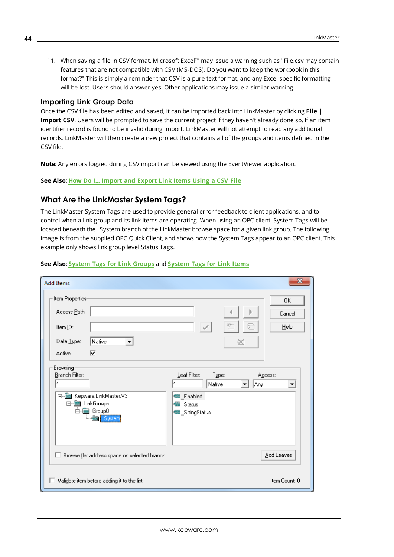11. When saving a file in CSV format, Microsoft Excel™ may issue a warning such as "File.csv may contain features that are not compatible with CSV (MS-DOS). Do you want to keep the workbook in this format?" This is simply a reminder that CSV is a pure text format, and any Excel specific formatting will be lost. Users should answer yes. Other applications may issue a similar warning.

#### **Importing Link Group Data**

Once the CSV file has been edited and saved, it can be imported back into LinkMaster by clicking **File** | **Import CSV**. Users will be prompted to save the current project if they haven't already done so. If an item identifier record is found to be invalid during import, LinkMaster will not attempt to read any additional records. LinkMaster will then create a new project that contains all of the groups and items defined in the CSV file.

**Note:** Any errors logged during CSV import can be viewed using the EventViewer application.

<span id="page-43-0"></span>**See Also: How Do I... [Import](#page-59-0) and Export Link Items Using a CSV File**

#### **What Are the LinkMaster System Tags?**

The LinkMaster System Tags are used to provide general error feedback to client applications, and to control when a link group and its link items are operating. When using an OPC client, System Tags will be located beneath the System branch of the LinkMaster browse space for a given link group. The following image is from the supplied OPC Quick Client, and shows how the System Tags appear to an OPC client. This example only shows link group level Status Tags.

| <b>Add Items</b>                                                                                                                                                       | x                                                                                                                                                 |
|------------------------------------------------------------------------------------------------------------------------------------------------------------------------|---------------------------------------------------------------------------------------------------------------------------------------------------|
| Item Properties<br>Access Path:<br>Item ID:<br>Data Type:<br> Native<br>$\blacktriangledown$<br>⊽<br>Active<br>Browsing<br>Branch Filter:<br>$\boldsymbol{\mathsf{x}}$ | 0K.<br>Cancel<br>计<br>€<br>$He$ lp<br>$\mathcal{L}$<br>∞<br>Leaf Filter:<br>Type:<br>Access:<br>$\boldsymbol{\times}$<br>Any<br>Native<br>▼∣<br>▼ |
| $\Box$<br>Kepware.LinkMaster.V3<br>白 图 LinkGroups<br>白·Roup0<br>System                                                                                                 | <b>B</b> _Enabled<br><b>■</b> _Status<br>StringStatus                                                                                             |
| Browse flat address space on selected branch<br>п                                                                                                                      | Add Leaves                                                                                                                                        |
| Validate item before adding it to the list<br>H.                                                                                                                       | Item Count: 0                                                                                                                                     |

#### **See Also: [System](#page-44-0) Tags for Link Groups** and **System Tags for [Link Items](#page-44-1)**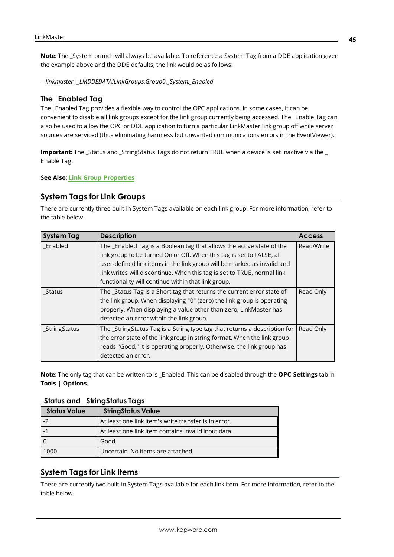**Note:** The \_System branch will always be available. To reference a System Tag from a DDE application given the example above and the DDE defaults, the link would be as follows:

*= linkmaster|\_LMDDEDATA!LinkGroups.Group0.\_System.\_Enabled*

#### **The \_Enabled Tag**

The \_Enabled Tag provides a flexible way to control the OPC applications. In some cases, it can be convenient to disable all link groups except for the link group currently being accessed. The \_Enable Tag can also be used to allow the OPC or DDE application to turn a particular LinkMaster link group off while server sources are serviced (thus eliminating harmless but unwanted communications errors in the EventViewer).

**Important:** The \_Status and \_StringStatus Tags do not return TRUE when a device is set inactive via the \_ Enable Tag.

#### <span id="page-44-0"></span>**See Also: Link Group [Properties](#page-31-2)**

## **System Tags for Link Groups**

There are currently three built-in System Tags available on each link group. For more information, refer to the table below.

| <b>System Tag</b> | <b>Description</b>                                                        | <b>Access</b> |
|-------------------|---------------------------------------------------------------------------|---------------|
| Enabled           | The _Enabled Tag is a Boolean tag that allows the active state of the     | Read/Write    |
|                   | link group to be turned On or Off. When this tag is set to FALSE, all     |               |
|                   | user-defined link items in the link group will be marked as invalid and   |               |
|                   | link writes will discontinue. When this tag is set to TRUE, normal link   |               |
|                   | functionality will continue within that link group.                       |               |
| Status            | The_Status Tag is a Short tag that returns the current error state of     | Read Only     |
|                   | the link group. When displaying "0" (zero) the link group is operating    |               |
|                   | properly. When displaying a value other than zero, LinkMaster has         |               |
|                   | detected an error within the link group.                                  |               |
| _StringStatus     | The _StringStatus Tag is a String type tag that returns a description for | Read Only     |
|                   | the error state of the link group in string format. When the link group   |               |
|                   | reads "Good," it is operating properly. Otherwise, the link group has     |               |
|                   | detected an error.                                                        |               |

<span id="page-44-2"></span>**Note:** The only tag that can be written to is \_Enabled. This can be disabled through the **OPC Settings** tab in **Tools** | **Options**.

#### **\_Status and \_StringStatus Tags**

| <b>Status Value</b> | _StringStatus Value                                  |
|---------------------|------------------------------------------------------|
|                     | At least one link item's write transfer is in error. |
|                     | At least one link item contains invalid input data.  |
|                     | Good.                                                |
| 1000                | Uncertain. No items are attached.                    |

## <span id="page-44-1"></span>**System Tags for Link Items**

There are currently two built-in System Tags available for each link item. For more information, refer to the table below.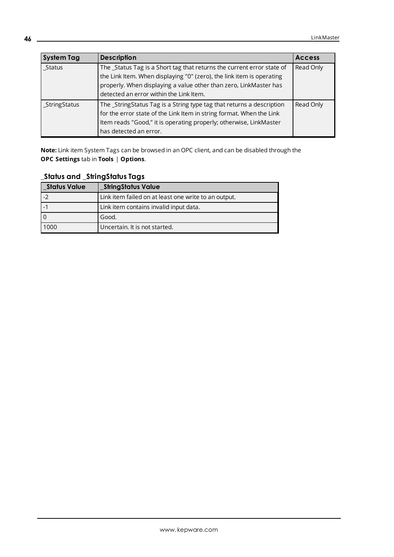| <b>System Tag</b> | <b>Description</b>                                                                                                                                                                                                                                              | <b>Access</b> |
|-------------------|-----------------------------------------------------------------------------------------------------------------------------------------------------------------------------------------------------------------------------------------------------------------|---------------|
| Status            | The _Status Tag is a Short tag that returns the current error state of<br>the Link Item. When displaying "0" (zero), the link item is operating<br>properly. When displaying a value other than zero, LinkMaster has<br>detected an error within the Link Item. | Read Only     |
| _StringStatus     | The _StringStatus Tag is a String type tag that returns a description<br>for the error state of the Link Item in string format. When the Link<br>Item reads "Good," it is operating properly; otherwise, LinkMaster<br>has detected an error.                   | Read Only     |

**Note:** Link item System Tags can be browsed in an OPC client, and can be disabled through the **OPC Settings** tab in **Tools** | **Options**.

**\_Status and \_StringStatus Tags**

| <b>Status Value</b> | _StringStatus Value                                  |
|---------------------|------------------------------------------------------|
| $-2$                | Link item failed on at least one write to an output. |
|                     | Link item contains invalid input data.               |
|                     | Good.                                                |
| 1000                | Uncertain. It is not started.                        |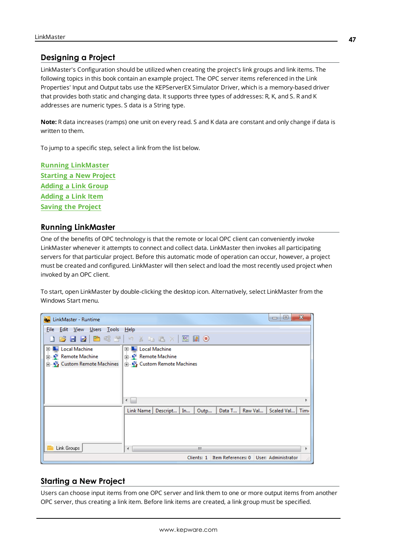# <span id="page-46-0"></span>**Designing a Project**

LinkMaster's Configuration should be utilized when creating the project's link groups and link items. The following topics in this book contain an example project. The OPC server items referenced in the Link Properties' Input and Output tabs use the KEPServerEX Simulator Driver, which is a memory-based driver that provides both static and changing data. It supports three types of addresses: R, K, and S. R and K addresses are numeric types. S data is a String type.

**Note:** R data increases (ramps) one unit on every read. S and K data are constant and only change if data is written to them.

To jump to a specific step, select a link from the list below.

**Running [LinkMaster](#page-46-1) [Starting](#page-46-2) a New Project [Adding](#page-47-0) a Link Group [Adding](#page-49-0) a Link Item Saving the [Project](#page-56-0)**

## <span id="page-46-1"></span>**Running LinkMaster**

One of the benefits of OPC technology is that the remote or local OPC client can conveniently invoke LinkMaster whenever it attempts to connect and collect data. LinkMaster then invokes all participating servers for that particular project. Before this automatic mode of operation can occur, however, a project must be created and configured. LinkMaster will then select and load the most recently used project when invoked by an OPC client.

To start, open LinkMaster by double-clicking the desktop icon. Alternatively, select LinkMaster from the Windows Start menu.

| LinkMaster - Runtime              | $\mathbf x$<br>o<br>$\Box$                                                             |
|-----------------------------------|----------------------------------------------------------------------------------------|
| File Edit View Users Tools Help   |                                                                                        |
|                                   | <b>DBBBB8319×48×1照明9</b>                                                               |
| <b>E-Local Machine</b>            | <b>E-Local Machine</b>                                                                 |
| <b>E</b> Remote Machine           | <b>E</b> Remote Machine                                                                |
| <b>E-B</b> Custom Remote Machines | <b>Example 2</b> Custom Remote Machines                                                |
|                                   | ∢<br>۱                                                                                 |
|                                   | Data T<br>Scaled Val<br><b>Time</b><br>Link Name   Descript  <br>In<br>Outp<br>Raw Val |
| Link Groups                       | m<br>∢                                                                                 |
|                                   | Clients: 1   Item References: 0   User: Administrator                                  |

## <span id="page-46-2"></span>**Starting a New Project**

Users can choose input items from one OPC server and link them to one or more output items from another OPC server, thus creating a link item. Before link items are created, a link group must be specified.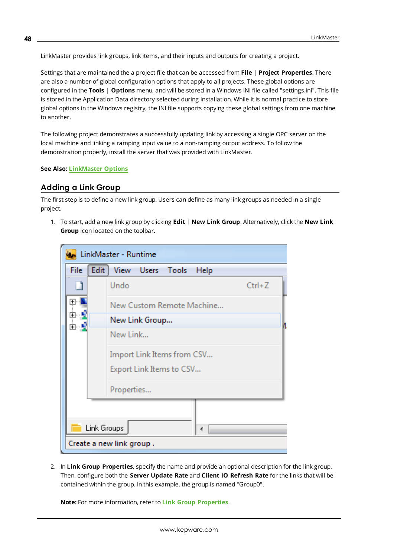LinkMaster provides link groups, link items, and their inputs and outputs for creating a project.

Settings that are maintained the a project file that can be accessed from **File** | **Project Properties**. There are also a number of global configuration options that apply to all projects. These global options are configured in the **Tools** | **Options** menu, and will be stored in a Windows INI file called "settings.ini". This file is stored in the Application Data directory selected during installation. While it is normal practice to store global options in the Windows registry, the INI file supports copying these global settings from one machine to another.

<span id="page-47-2"></span>The following project demonstrates a successfully updating link by accessing a single OPC server on the local machine and linking a ramping input value to a non-ramping output address. To follow the demonstration properly, install the server that was provided with LinkMaster.

#### <span id="page-47-0"></span>**See Also: [LinkMaster](#page-20-0) Options**

# **Adding a Link Group**

The first step is to define a new link group. Users can define as many link groups as needed in a single project.

1. To start, add a new link group by clicking **Edit** | **New Link Group**. Alternatively, click the **New Link Group** icon located on the toolbar.

|           |                           |             |                          | LinkMaster - Runtime       |  |      |            |  |
|-----------|---------------------------|-------------|--------------------------|----------------------------|--|------|------------|--|
|           | File                      | Edit        |                          | View Users Tools           |  | Help |            |  |
|           |                           |             | Undo                     |                            |  |      | $Ctrl + Z$ |  |
| $\ddot{}$ | New Custom Remote Machine |             |                          |                            |  |      |            |  |
|           |                           |             |                          | New Link Group             |  |      |            |  |
| New Link  |                           |             |                          |                            |  |      |            |  |
|           |                           |             |                          | Import Link Items from CSV |  |      |            |  |
|           | Export Link Items to CSV  |             |                          |                            |  |      |            |  |
|           |                           |             | Properties               |                            |  |      |            |  |
|           |                           |             |                          |                            |  |      |            |  |
|           |                           | Link Groups |                          |                            |  | 4    |            |  |
|           |                           |             | Create a new link group. |                            |  |      |            |  |

<span id="page-47-1"></span>2. In **Link Group Properties**, specify the name and provide an optional description for the link group. Then, configure both the **Server Update Rate** and **Client IO Refresh Rate** for the links that will be contained within the group. In this example, the group is named "Group0".

**Note:** For more information, refer to **Link Group [Properties](#page-31-2)**.

**48**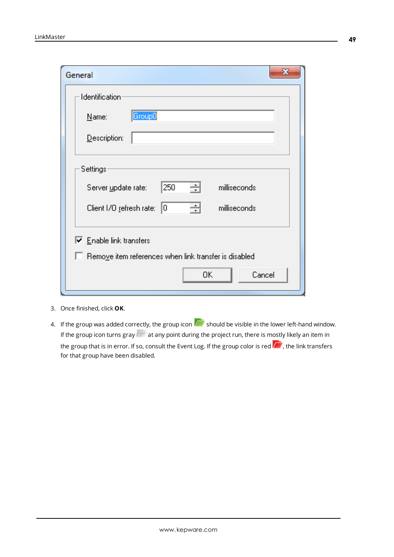| General                                                       |
|---------------------------------------------------------------|
| Identification<br>Group0<br>Name:                             |
| Description:                                                  |
| Settings                                                      |
| 250<br>싁<br>milliseconds<br>Server update rate:               |
| 싂<br>Client I/O refresh rate: 0<br>milliseconds               |
| $\triangledown$ Enable link transfers                         |
| $\Box$ Remove item references when link transfer is disabled. |
| Cancel<br>0K                                                  |

<span id="page-48-0"></span>3. Once finished, click **OK**.

4. If the group was added correctly, the group icon  $\overline{\mathbb{R}}$  should be visible in the lower left-hand window. If the group icon turns gray  $\alpha$  at any point during the project run, there is mostly likely an item in the group that is in error. If so, consult the Event Log. If the group color is red  $\sqrt{t}$ , the link transfers for that group have been disabled.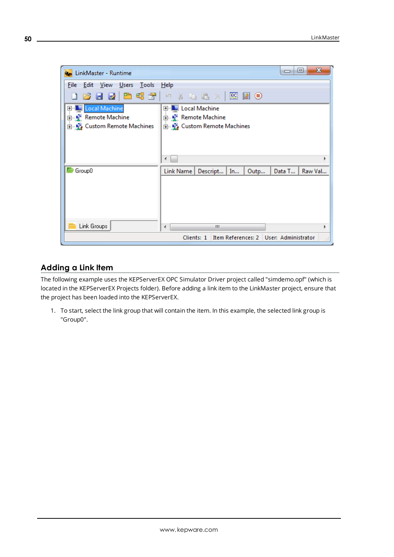

# <span id="page-49-0"></span>**Adding a Link Item**

The following example uses the KEPServerEX OPC Simulator Driver project called "simdemo.opf" (which is located in the KEPServerEX Projects folder). Before adding a link item to the LinkMaster project, ensure that the project has been loaded into the KEPServerEX.

1. To start, select the link group that will contain the item. In this example, the selected link group is "Group0".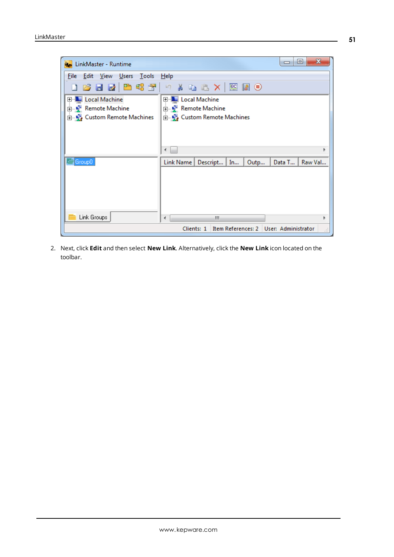

2. Next, click **Edit** and then select **New Link**. Alternatively, click the **New Link** icon located on the toolbar.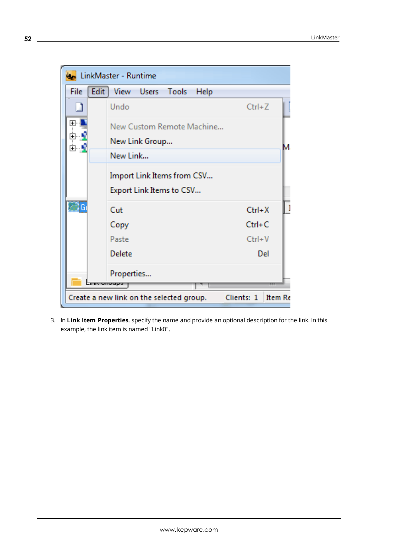

3. In **Link Item Properties**, specify the name and provide an optional description for the link. In this example, the link item is named "Link0".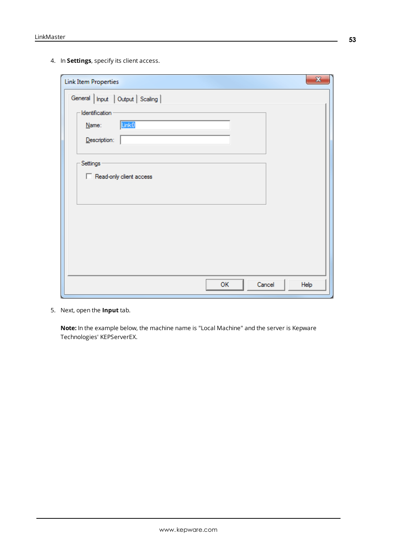4. In **Settings**, specify its client access.

| $\mathbf{x}$<br><b>Link Item Properties</b>  |
|----------------------------------------------|
| General   Input   Output   Scaling           |
| Identification<br>Link <sub>0</sub><br>Name: |
| Description:                                 |
| Settings                                     |
| Read-only client access                      |
|                                              |
|                                              |
|                                              |
|                                              |
| OK<br>Cancel<br>Help                         |

<span id="page-52-0"></span>5. Next, open the **Input** tab.

**Note:** In the example below, the machine name is "Local Machine" and the server is Kepware Technologies' KEPServerEX.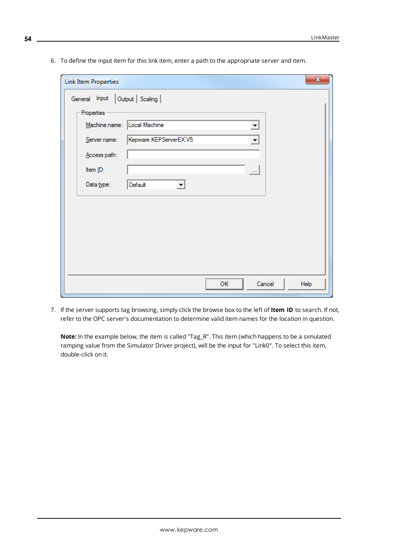6. To define the input item for this link item, enter a path to the appropriate server and item.

| <b>Link Item Properties</b> | $\mathbf{x}$                                   |
|-----------------------------|------------------------------------------------|
| General Input               | Output   Scaling                               |
| Properties                  |                                                |
|                             | Machine name: Local Machine<br>$\vert$         |
| Server name:                | Kepware.KEPServerEX.V5<br>$\blacktriangledown$ |
| Access path:                |                                                |
| Item ID:                    | $\ldots$                                       |
| Data type:                  | Default<br>$\blacktriangledown$                |
|                             |                                                |
|                             |                                                |
|                             |                                                |
|                             |                                                |
|                             |                                                |
|                             |                                                |
|                             | OK<br>Cancel<br>Help                           |

<span id="page-53-0"></span>7. If the server supports tag browsing, simply click the browse box to the left of **Item ID** to search. If not, refer to the OPC server's documentation to determine valid item names for the location in question.

**Note:** In the example below, the item is called "Tag\_R". This item (which happens to be a simulated ramping value from the Simulator Driver project), will be the input for "Link0". To select this item, double-click on it.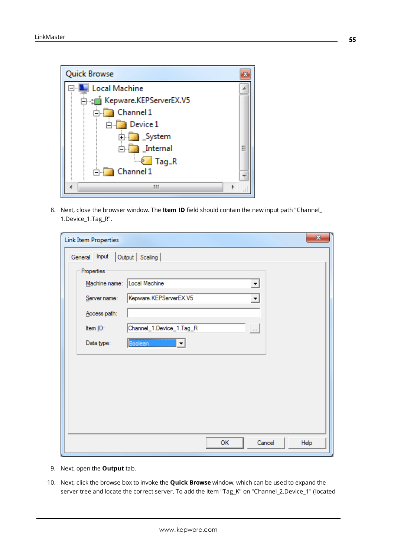

8. Next, close the browser window. The **Item ID** field should contain the new input path "Channel\_ 1.Device\_1.Tag\_R".

| <b>Link Item Properties</b> | $\mathbf{x}$                         |
|-----------------------------|--------------------------------------|
| General Input               | Output   Scaling                     |
| Properties                  |                                      |
| Machine name:               | Local Machine<br>▼                   |
| Server name:                | Kepware.KEPServerEX.V5<br>▼          |
| Access path:                |                                      |
| Item ID:                    | Channel_1.Device_1.Tag_R<br>$\ldots$ |
| Data type:                  | Boolean<br>$\blacktriangledown$      |
|                             |                                      |
|                             |                                      |
|                             |                                      |
|                             |                                      |
|                             |                                      |
|                             |                                      |
|                             | Cancel<br>ОK<br>Help                 |
|                             |                                      |

- <span id="page-54-0"></span>9. Next, open the **Output** tab.
- 10. Next, click the browse box to invoke the **Quick Browse** window, which can be used to expand the server tree and locate the correct server. To add the item "Tag\_K" on "Channel\_2.Device\_1" (located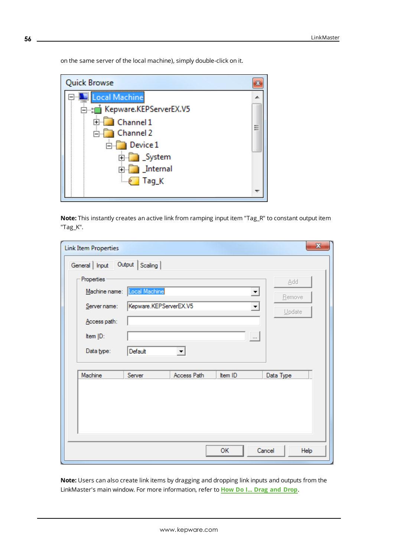**Quick Browse**  $\mathbf{E}$ Local Machine 8 H À. E-the Kepware.KEPServerEX.V5 E Channel 1 E **E** Channel 2 **E** Device 1 **E** System **Frag**K

on the same server of the local machine), simply double-click on it.

**Note:** This instantly creates an active link from ramping input item "Tag\_R" to constant output item "Tag\_K".

| $\mathbf{x}$<br><b>Link Item Properties</b> |                                         |             |                            |                |  |  |
|---------------------------------------------|-----------------------------------------|-------------|----------------------------|----------------|--|--|
| General   Input                             | Output   Scaling                        |             |                            |                |  |  |
| Properties<br>Machine name:                 |                                         |             |                            | Add            |  |  |
| Server name:                                | Local Machine<br>Kepware.KEPServerEX.V5 |             | $\blacktriangledown$<br>▾╎ | <b>Remove</b>  |  |  |
| Access path:                                |                                         |             |                            | Update         |  |  |
| Item ID:                                    |                                         |             | $\ldots$                   |                |  |  |
| Data type:                                  | Default                                 |             |                            |                |  |  |
| Machine                                     | Server                                  | Access Path | Item ID                    | Data Type      |  |  |
|                                             |                                         |             |                            |                |  |  |
|                                             |                                         |             |                            |                |  |  |
|                                             |                                         |             |                            |                |  |  |
|                                             |                                         |             | OK                         | Cancel<br>Help |  |  |

**Note:** Users can also create link items by dragging and dropping link inputs and outputs from the LinkMaster's main window. For more information, refer to **How Do I... Drag and [Drop](#page-58-0)**.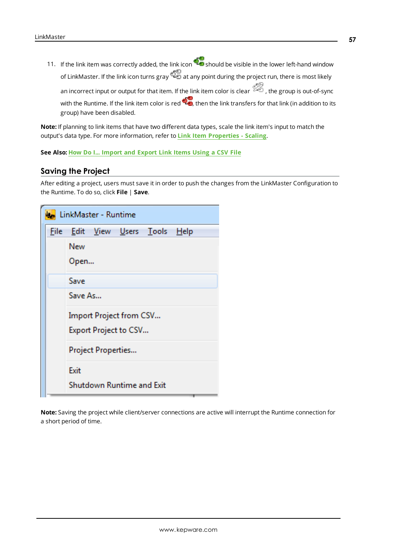<span id="page-56-1"></span>11. If the link item was correctly added, the link icon  $\mathbb{C}$  should be visible in the lower left-hand window of LinkMaster. If the link icon turns gray  $\tilde{\mathbb{Q}}$  at any point during the project run, there is most likely an incorrect input or output for that item. If the link item color is clear  $\mathbb{Z}$ , the group is out-of-sync with the Runtime. If the link item color is red  $\mathbb{Q}$ , then the link transfers for that link (in addition to its group) have been disabled.

**Note:** If planning to link items that have two different data types, scale the link item's input to match the output's data type. For more information, refer to **Link Item [Properties](#page-38-0) - Scaling**.

<span id="page-56-0"></span>**See Also: How Do I... [Import](#page-59-0) and Export Link Items Using a CSV File**

## **Saving the Project**

After editing a project, users must save it in order to push the changes from the LinkMaster Configuration to the Runtime. To do so, click **File** | **Save**.

|      | LinkMaster - Runtime                                               |
|------|--------------------------------------------------------------------|
| File | <u>E</u> dit <u>V</u> iew <u>U</u> sers <u>T</u> ools <u>H</u> elp |
|      | New                                                                |
|      | Open                                                               |
|      | Save                                                               |
|      | Save As                                                            |
|      | Import Project from CSV                                            |
|      | Export Project to CSV                                              |
|      | Project Properties                                                 |
|      | Exit                                                               |
|      | Shutdown Runtime and Exit                                          |

**Note:** Saving the project while client/server connections are active will interrupt the Runtime connection for a short period of time.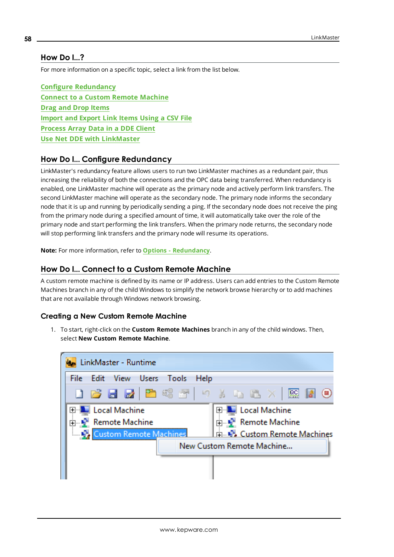# <span id="page-57-0"></span>**How Do I...?**

For more information on a specific topic, select a link from the list below.

<span id="page-57-3"></span>**Configure [Redundancy](#page-57-1) Connect to a Custom Remote [Machine](#page-57-2) Drag and Drop [Items](#page-58-0) [Import](#page-59-0) and Export Link Items Using a CSV File [Process](#page-62-0) Array Data in a DDE Client Use Net DDE with [LinkMaster](#page-62-1)**

# <span id="page-57-4"></span><span id="page-57-1"></span>**How Do I... Configure Redundancy**

LinkMaster's redundancy feature allows users to run two LinkMaster machines as a redundant pair, thus increasing the reliability of both the connections and the OPC data being transferred. When redundancy is enabled, one LinkMaster machine will operate as the primary node and actively perform link transfers. The second LinkMaster machine will operate as the secondary node. The primary node informs the secondary node that it is up and running by periodically sending a ping. If the secondary node does not receive the ping from the primary node during a specified amount of time, it will automatically take over the role of the primary node and start performing the link transfers. When the primary node returns, the secondary node will stop performing link transfers and the primary node will resume its operations.

<span id="page-57-5"></span><span id="page-57-2"></span>**Note:** For more information, refer to **Options - [Redundancy](#page-26-0)**.

#### **How Do I... Connect to a Custom Remote Machine**

A custom remote machine is defined by its name or IP address. Users can add entries to the Custom Remote Machines branch in any of the child Windows to simplify the network browse hierarchy or to add machines that are not available through Windows network browsing.

#### **Creating a New Custom Remote Machine**

1. To start, right-click on the **Custom Remote Machines** branch in any of the child windows. Then, select **New Custom Remote Machine**.

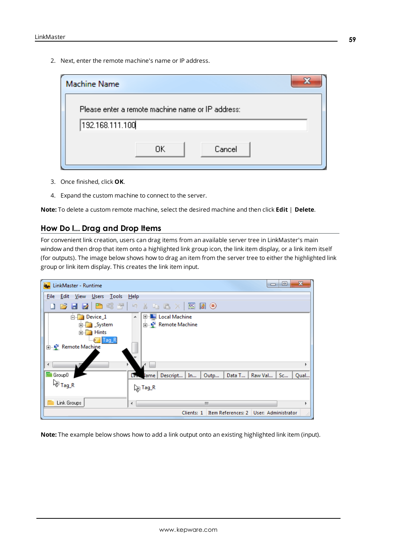2. Next, enter the remote machine's name or IP address.

| <b>Machine Name</b> |                                                   |  |
|---------------------|---------------------------------------------------|--|
|                     | Please enter a remote machine name or IP address: |  |
| 192.168.111.100     |                                                   |  |
|                     | Cancel<br>OK.                                     |  |

- 3. Once finished, click **OK**.
- 4. Expand the custom machine to connect to the server.

<span id="page-58-0"></span>**Note:** To delete a custom remote machine, select the desired machine and then click **Edit** | **Delete**.

# **How Do I... Drag and Drop Items**

For convenient link creation, users can drag items from an available server tree in LinkMaster's main window and then drop that item onto a highlighted link group icon, the link item display, or a link item itself (for outputs). The image below shows how to drag an item from the server tree to either the highlighted link group or link item display. This creates the link item input.



**Note:** The example below shows how to add a link output onto an existing highlighted link item (input).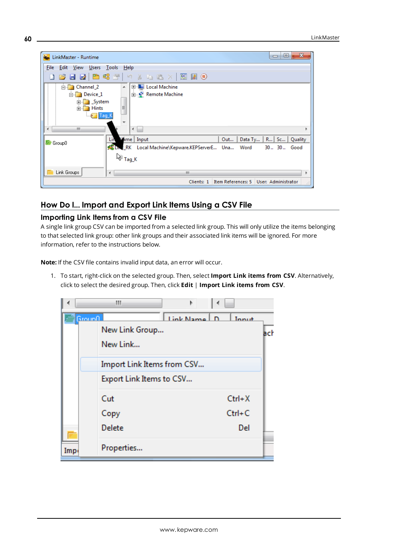| LinkMaster - Runtime                                                                      | x<br>E<br>$\Box$                                                                                                                 |
|-------------------------------------------------------------------------------------------|----------------------------------------------------------------------------------------------------------------------------------|
| File<br>Edit View Users Tools Help                                                        |                                                                                                                                  |
|                                                                                           | <b>B 2 2 2 2 3 2</b> 9 % & 8 × 图 2 0                                                                                             |
| <b>E</b> Channel 2<br>Device_1<br><b>E</b> System<br><b>Hints</b><br><b>Example Tag_K</b> | 田   Local Machine<br>$\blacktriangle$<br>由 P Remote Machine<br>Ξ                                                                 |
| m.                                                                                        | ∢                                                                                                                                |
| Lin<br>Group0                                                                             | Mime   Input<br>Data Ty   R   Sc   Quality<br>Out<br><b>BELINE RK</b><br>Local Machine\Kepware.KEPServerE Una Word<br>30 30 Good |
| Link Groups<br>∢                                                                          | √ે <sub>Tag_K</sub><br>Ш                                                                                                         |
|                                                                                           | Item References: 5   User: Administrator<br>Clients: 1<br>Æ                                                                      |

# <span id="page-59-0"></span>**How Do I... Import and Export Link Items Using a CSV File**

# **Importing Link Items from a CSV File**

A single link group CSV can be imported from a selected link group. This will only utilize the items belonging to that selected link group: other link groups and their associated link items will be ignored. For more information, refer to the instructions below.

**Note:** If the CSV file contains invalid input data, an error will occur.

1. To start, right-click on the selected group. Then, select **Import Link items from CSV**. Alternatively, click to select the desired group. Then, click **Edit** | **Import Link items from CSV**.

|                 | ш                                                      |             |                               |
|-----------------|--------------------------------------------------------|-------------|-------------------------------|
| <u> Grounfl</u> | New Link Group<br>New Link                             | Link Name D | Innut<br>ach                  |
|                 | Import Link Items from CSV<br>Export Link Items to CSV |             |                               |
|                 | Cut<br>Copy<br>Delete                                  |             | $Ctrl+X$<br>$Ctrl + C$<br>Del |
| Imp.            | Properties                                             |             |                               |

**60**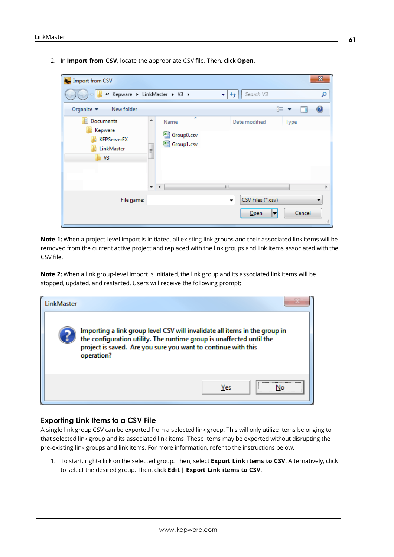2. In **Import from CSV**, locate the appropriate CSV file. Then, click **Open**.

| <b>K<sub>o</sub></b> Import from CSV                                |                                                                                                  |                                   |              | x  |
|---------------------------------------------------------------------|--------------------------------------------------------------------------------------------------|-----------------------------------|--------------|----|
|                                                                     | « Kepware > LinkMaster > V3 >                                                                    | Search V3<br>$\ddot{+}$<br>×.     |              | Ω  |
| Organize $\blacktriangledown$<br>New folder                         |                                                                                                  |                                   | 睚            |    |
| <b>Documents</b><br>E<br>Kepware<br>KEPServerEX<br>LinkMaster<br>V3 | ≖<br>▲<br>Name<br>图 Group0.csv<br>图 Group1.csv<br>Ξ<br>$\frac{1}{2}$<br>$\overline{\mathcal{L}}$ | Date modified<br>Щ.               | Type         |    |
| File name:                                                          |                                                                                                  | CSV Files (*.csv)<br>▼<br>$O$ pen | Cancel<br> ▼ | лi |

**Note 1:** When a project-level import is initiated, all existing link groups and their associated link items will be removed from the current active project and replaced with the link groups and link items associated with the CSV file.

**Note 2:** When a link group-level import is initiated, the link group and its associated link items will be stopped, updated, and restarted. Users will receive the following prompt:

| LinkMaster |                                                                                                                                                                                                                                   |
|------------|-----------------------------------------------------------------------------------------------------------------------------------------------------------------------------------------------------------------------------------|
|            | Importing a link group level CSV will invalidate all items in the group in<br>the configuration utility. The runtime group is unaffected until the<br>project is saved. Are you sure you want to continue with this<br>operation? |
|            | Yes                                                                                                                                                                                                                               |

#### **Exporting Link Items to a CSV File**

A single link group CSV can be exported from a selected link group. This will only utilize items belonging to that selected link group and its associated link items. These items may be exported without disrupting the pre-existing link groups and link items. For more information, refer to the instructions below.

1. To start, right-click on the selected group. Then, select **Export Link items to CSV**. Alternatively, click to select the desired group. Then, click **Edit** | **Export Link items to CSV**.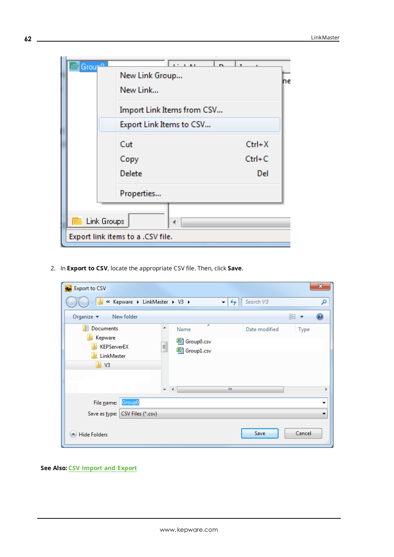| ¦Grou <del>r</del> ≏              | 120 B AT<br>New Link Group | ne         |  |  |
|-----------------------------------|----------------------------|------------|--|--|
|                                   | New Link                   |            |  |  |
|                                   | Import Link Items from CSV |            |  |  |
|                                   | Export Link Items to CSV   |            |  |  |
|                                   | Cut                        | $Ctrl+X$   |  |  |
|                                   | Copy                       | $Ctrl + C$ |  |  |
|                                   | Delete                     | Del        |  |  |
|                                   | Properties                 |            |  |  |
|                                   |                            |            |  |  |
| Link Groups<br>∢                  |                            |            |  |  |
| Export link items to a .CSV file. |                            |            |  |  |

2. In **Export to CSV**, locate the appropriate CSV file. Then, click **Save**.

| <b>k</b> Export to CSV                                                  |                                                                                      |                                | $\mathbf{x}$     |
|-------------------------------------------------------------------------|--------------------------------------------------------------------------------------|--------------------------------|------------------|
| « Kepware > LinkMaster > V3 >                                           |                                                                                      | Search V3<br>$\ddotmark$<br>×۱ | Ω                |
| Organize $\blacktriangledown$<br>New folder                             |                                                                                      |                                | 睚 ▼              |
| 百<br>Documents<br>Kepware<br><b>KEPServerEX</b><br>LinkMaster<br>4 V3   | ≖<br>┻<br>Name<br>图 Group0.csv<br>Ę<br>图 Group1.csv<br>$\overline{\phantom{a}}$<br>∢ | Date modified<br>ш             | Type             |
| Group0<br>File name:<br>Save as type: CSV Files (*.csv)<br>Hide Folders |                                                                                      | Save                           | ▼<br>Cancel<br>Ш |

**See Also: [CSV Import](#page-39-0) and Export**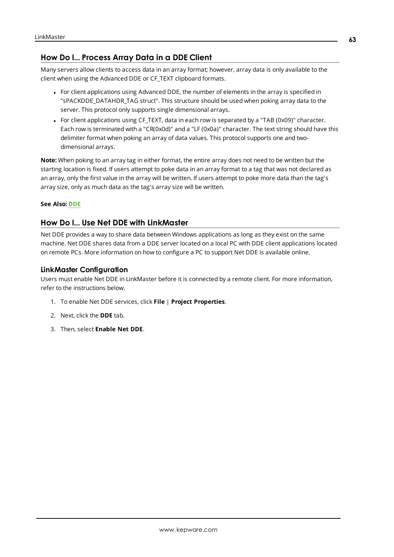# <span id="page-62-0"></span>**How Do I... Process Array Data in a DDE Client**

Many servers allow clients to access data in an array format; however, array data is only available to the client when using the Advanced DDE or CF\_TEXT clipboard formats.

- For client applications using Advanced DDE, the number of elements in the array is specified in "sPACKDDE\_DATAHDR\_TAG struct". This structure should be used when poking array data to the server. This protocol only supports single dimensional arrays.
- For client applications using CF TEXT, data in each row is separated by a "TAB (0x09)" character. Each row is terminated with a "CR(0x0d)" and a "LF (0x0a)" character. The text string should have this delimiter format when poking an array of data values. This protocol supports one and twodimensional arrays.

**Note:** When poking to an array tag in either format, the entire array does not need to be written but the starting location is fixed. If users attempt to poke data in an array format to a tag that was not declared as an array, only the first value in the array will be written. If users attempt to poke more data than the tag's array size, only as much data as the tag's array size will be written.

#### <span id="page-62-1"></span>**See Also: [DDE](#page-7-2)**

## **How Do I... Use Net DDE with LinkMaster**

Net DDE provides a way to share data between Windows applications as long as they exist on the same machine. Net DDE shares data from a DDE server located on a local PC with DDE client applications located on remote PCs. More information on how to configure a PC to support Net DDE is available online.

#### <span id="page-62-3"></span><span id="page-62-2"></span>**LinkMaster Configuration**

Users must enable Net DDE in LinkMaster before it is connected by a remote client. For more information, refer to the instructions below.

- 1. To enable Net DDE services, click **File** | **Project Properties**.
- 2. Next, click the **DDE** tab.
- 3. Then, select **Enable Net DDE**.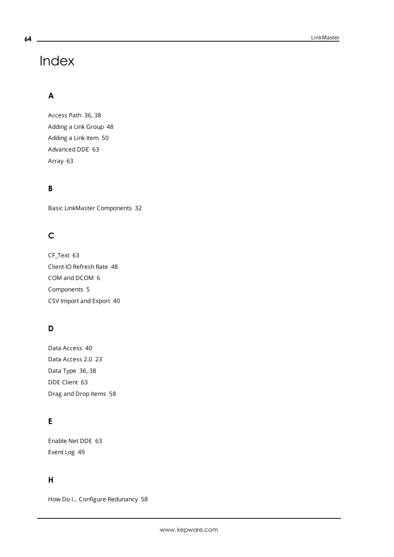# Index

# **A**

Access Path [36](#page-35-1), [38](#page-37-0) Adding a Link Group [48](#page-47-0) Adding a Link Item [50](#page-49-0) Advanced DDE [63](#page-62-0) Array [63](#page-62-0)

# **B**

Basic LinkMaster Components [32](#page-31-0)

# **C**

CF\_Text [63](#page-62-0) Client IO Refresh Rate [48](#page-47-1) COM and DCOM [6](#page-5-1) Components [5](#page-4-0) CSV Import and Export [40](#page-39-0)

# **D**

Data Access [40](#page-39-1) Data Access 2.0 [23](#page-22-1) Data Type [36](#page-35-2), [38](#page-37-1) DDE Client [63](#page-62-0) Drag and Drop items [58](#page-57-3)

# **E**

Enable Net DDE [63](#page-62-2) Event Log [49](#page-48-0)

# **H**

How Do I... Configure Redunancy [58](#page-57-1)

<span id="page-63-0"></span>**64**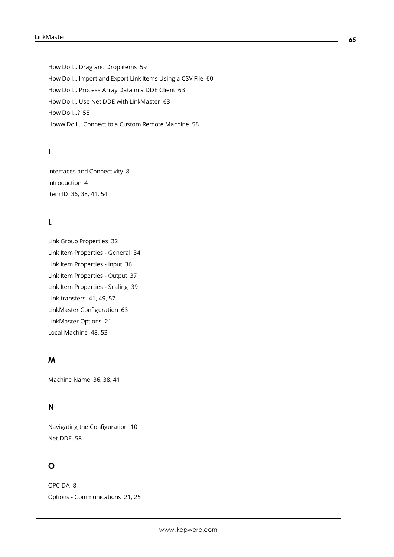How Do I... Drag and Drop items [59](#page-58-0) How Do I... Import and Export Link Items Using a CSV File [60](#page-59-0) How Do I... Process Array Data in a DDE Client [63](#page-62-0) How Do I... Use Net DDE with LinkMaster [63](#page-62-1) How Do I...? [58](#page-57-0) Howw Do I... Connect to a Custom Remote Machine [58](#page-57-2)

# **I**

Interfaces and Connectivity [8](#page-7-0) Introduction [4](#page-3-1) Item ID [36,](#page-35-3) [38,](#page-37-2) [41,](#page-40-0) [54](#page-53-0)

# **L**

Link Group Properties [32](#page-31-2) Link Item Properties - General [34](#page-33-1) Link Item Properties - Input [36](#page-35-0) Link Item Properties - Output [37](#page-36-0) Link Item Properties - Scaling [39](#page-38-0) Link transfers [41,](#page-40-1) [49,](#page-48-0) [57](#page-56-1) LinkMaster Configuration [63](#page-62-3) LinkMaster Options [21](#page-20-0) Local Machine [48,](#page-47-2) [53](#page-52-0)

# **M**

Machine Name [36,](#page-35-4) [38](#page-37-3), [41](#page-40-2)

# **N**

Navigating the Configuration [10](#page-9-0) Net DDE [58](#page-57-4)

# **O**

OPC DA [8](#page-7-1) Options - Communications [21](#page-20-2), [25](#page-24-0)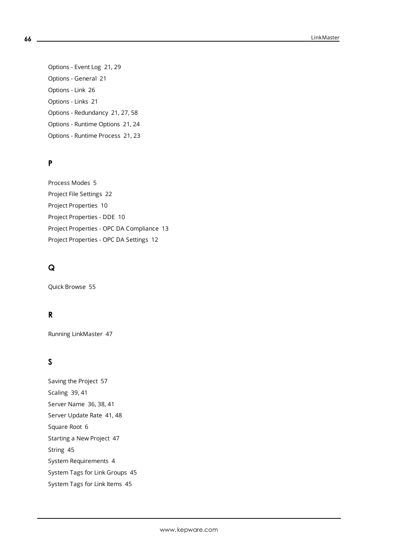Options - Event Log [21](#page-20-3), [29](#page-28-0) Options - General [21](#page-20-4) Options - Link [26](#page-25-0) Options - Links [21](#page-20-5) Options - Redundancy [21](#page-20-6), [27,](#page-26-0) [58](#page-57-5) Options - Runtime Options [21](#page-20-7), [24](#page-23-0) Options - Runtime Process [21](#page-20-8), [23](#page-22-0)

# **P**

Process Modes [5](#page-4-1) Project File Settings [22](#page-21-0) Project Properties [10](#page-9-1) Project Properties - DDE [10](#page-9-2) Project Properties - OPC DA Compliance [13](#page-12-0) Project Properties - OPC DA Settings [12](#page-11-0)

# **Q**

Quick Browse [55](#page-54-0)

# **R**

Running LinkMaster [47](#page-46-1)

# **S**

Saving the Project [57](#page-56-0) Scaling [39,](#page-38-0) [41](#page-40-3) Server Name [36](#page-35-5), [38](#page-37-4), [41](#page-40-4) Server Update Rate [41,](#page-40-5) [48](#page-47-1) Square Root [6](#page-5-2) Starting a New Project [47](#page-46-2) String [45](#page-44-2) System Requirements [4](#page-3-2) System Tags for Link Groups [45](#page-44-0) System Tags for Link Items [45](#page-44-1)